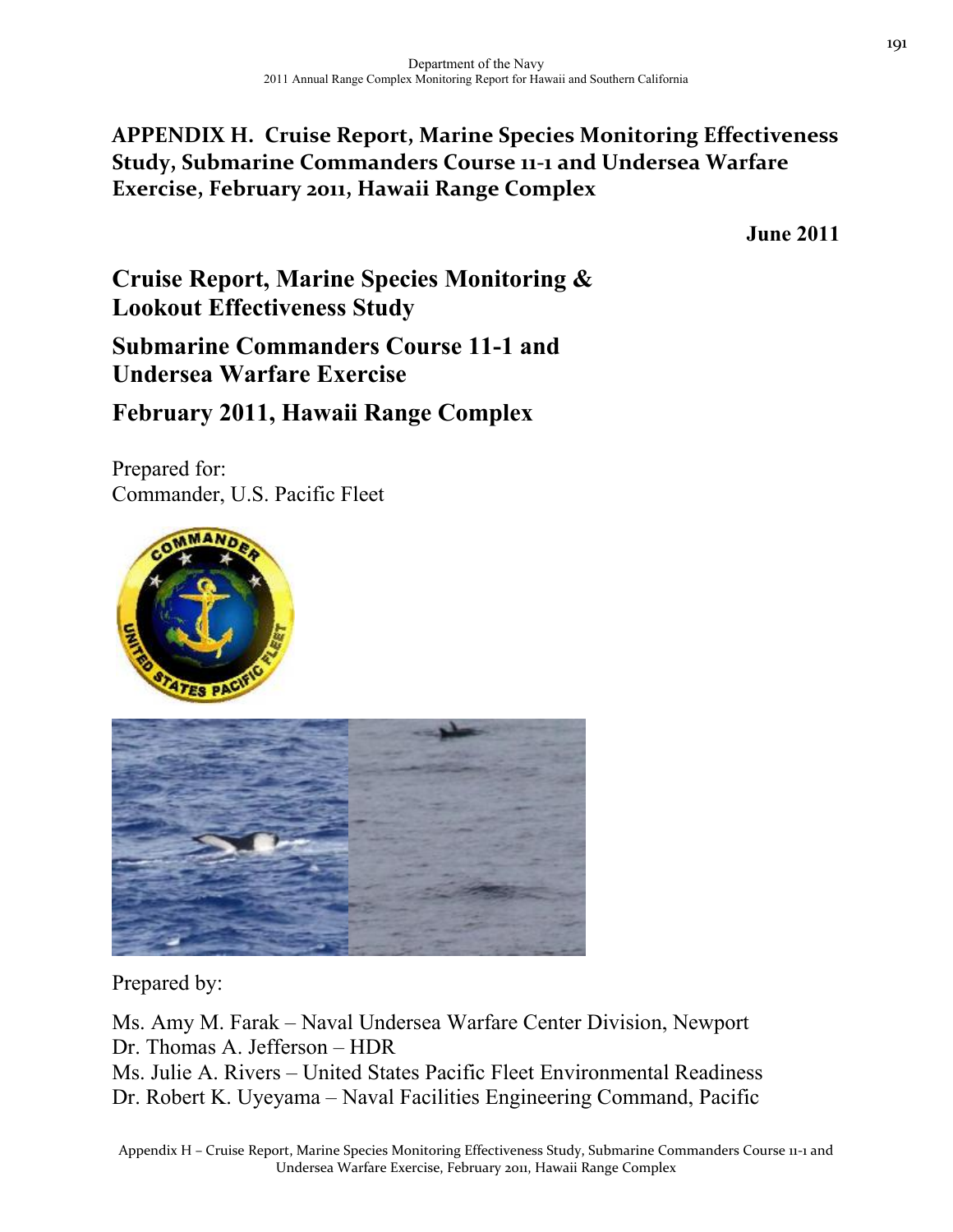# **APPENDIX H. Cruise Report, Marine Species Monitoring Effectiveness Study, Submarine Commanders Course 11‐1 and Undersea Warfare Exercise, February 2011, Hawaii Range Complex**

**June 2011** 

**Cruise Report, Marine Species Monitoring & Lookout Effectiveness Study Submarine Commanders Course 11-1 and Undersea Warfare Exercise February 2011, Hawaii Range Complex** 

Prepared for: Commander, U.S. Pacific Fleet





Prepared by:

Ms. Amy M. Farak – Naval Undersea Warfare Center Division, Newport Dr. Thomas A. Jefferson – HDR Ms. Julie A. Rivers – United States Pacific Fleet Environmental Readiness Dr. Robert K. Uyeyama – Naval Facilities Engineering Command, Pacific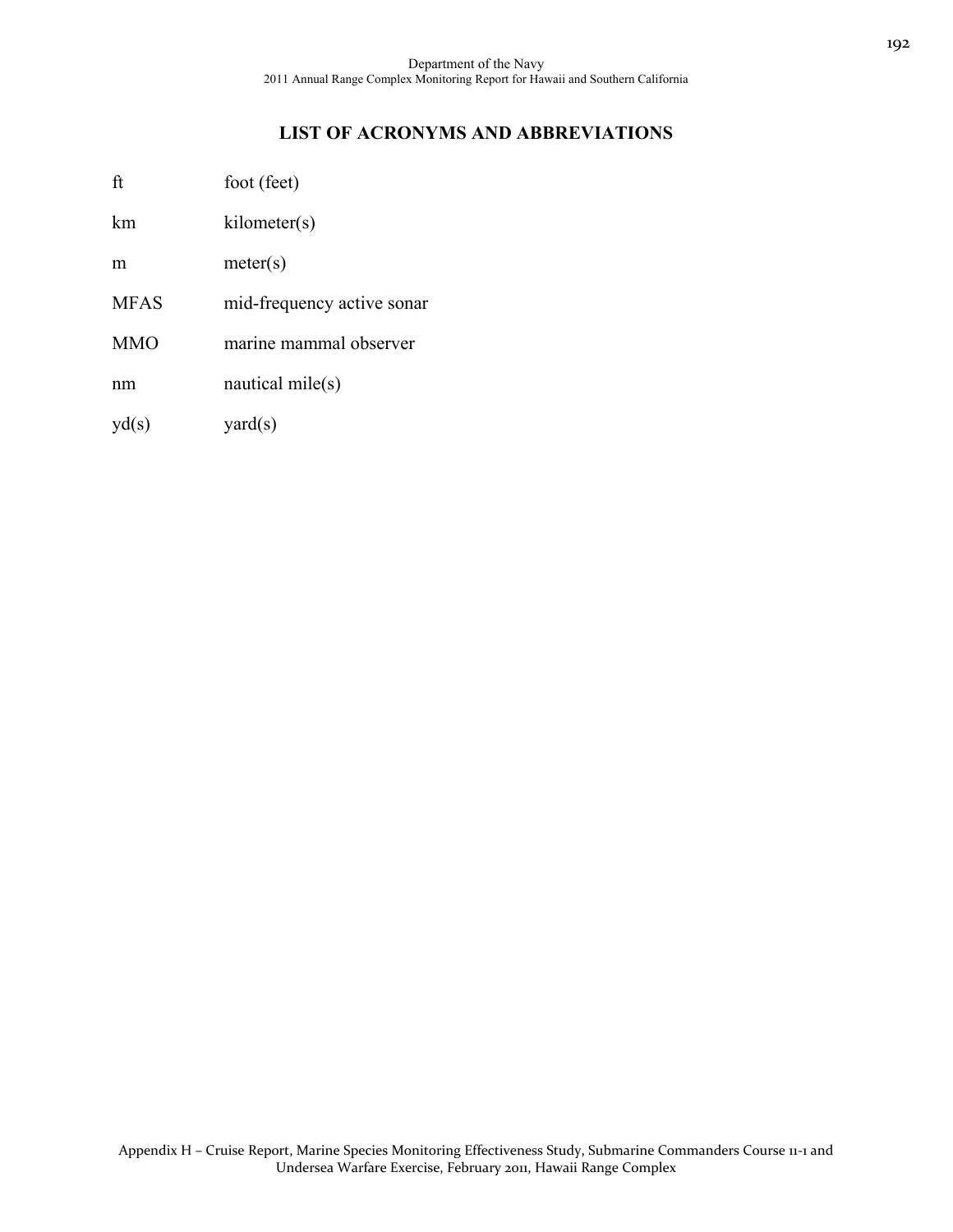## **LIST OF ACRONYMS AND ABBREVIATIONS**

| ft | foot (feet) |  |
|----|-------------|--|
|----|-------------|--|

km kilometer(s)

m meter(s)

- MFAS mid-frequency active sonar
- MMO marine mammal observer

nm nautical mile(s)

 $y d(s)$  yard $(s)$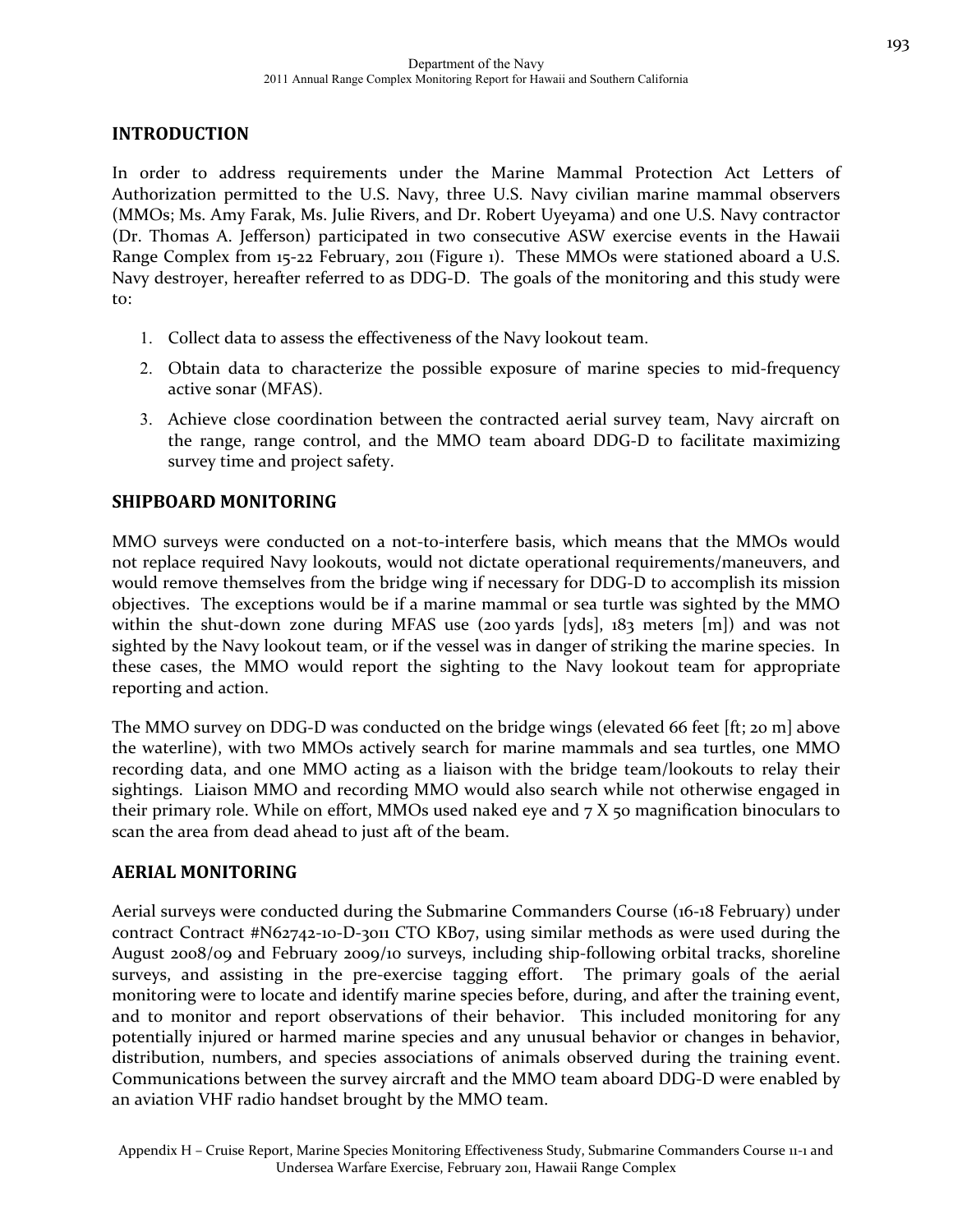## **INTRODUCTION**

In order to address requirements under the Marine Mammal Protection Act Letters of Authorization permitted to the U.S. Navy, three U.S. Navy civilian marine mammal observers (MMOs; Ms. Amy Farak, Ms. Julie Rivers, and Dr. Robert Uyeyama) and one U.S. Navy contractor (Dr. Thomas A. Jefferson) participated in two consecutive ASW exercise events in the Hawaii Range Complex from 15-22 February, 2011 (Figure 1). These MMOs were stationed aboard a U.S. Navy destroyer, hereafter referred to as DDG‐D. The goals of the monitoring and this study were to:

- 1. Collect data to assess the effectiveness of the Navy lookout team.
- 2. Obtain data to characterize the possible exposure of marine species to mid‐frequency active sonar (MFAS).
- 3. Achieve close coordination between the contracted aerial survey team, Navy aircraft on the range, range control, and the MMO team aboard DDG‐D to facilitate maximizing survey time and project safety.

## **SHIPBOARD MONITORING**

MMO surveys were conducted on a not-to-interfere basis, which means that the MMOs would not replace required Navy lookouts, would not dictate operational requirements/maneuvers, and would remove themselves from the bridge wing if necessary for DDG-D to accomplish its mission objectives. The exceptions would be if a marine mammal or sea turtle was sighted by the MMO within the shut-down zone during MFAS use (200 yards [yds],  $183$  meters [m]) and was not sighted by the Navy lookout team, or if the vessel was in danger of striking the marine species. In these cases, the MMO would report the sighting to the Navy lookout team for appropriate reporting and action.

The MMO survey on DDG-D was conducted on the bridge wings (elevated 66 feet [ft; 20 m] above the waterline), with two MMOs actively search for marine mammals and sea turtles, one MMO recording data, and one MMO acting as a liaison with the bridge team/lookouts to relay their sightings. Liaison MMO and recording MMO would also search while not otherwise engaged in their primary role. While on effort, MMOs used naked eye and  $7 X$  50 magnification binoculars to scan the area from dead ahead to just aft of the beam.

## **AERIAL MONITORING**

Aerial surveys were conducted during the Submarine Commanders Course (16‐18 February) under contract Contract #N62742-10-D-3011 CTO KB07, using similar methods as were used during the August 2008/09 and February 2009/10 surveys, including ship‐following orbital tracks, shoreline surveys, and assisting in the pre-exercise tagging effort. The primary goals of the aerial monitoring were to locate and identify marine species before, during, and after the training event, and to monitor and report observations of their behavior. This included monitoring for any potentially injured or harmed marine species and any unusual behavior or changes in behavior, distribution, numbers, and species associations of animals observed during the training event. Communications between the survey aircraft and the MMO team aboard DDG‐D were enabled by an aviation VHF radio handset brought by the MMO team.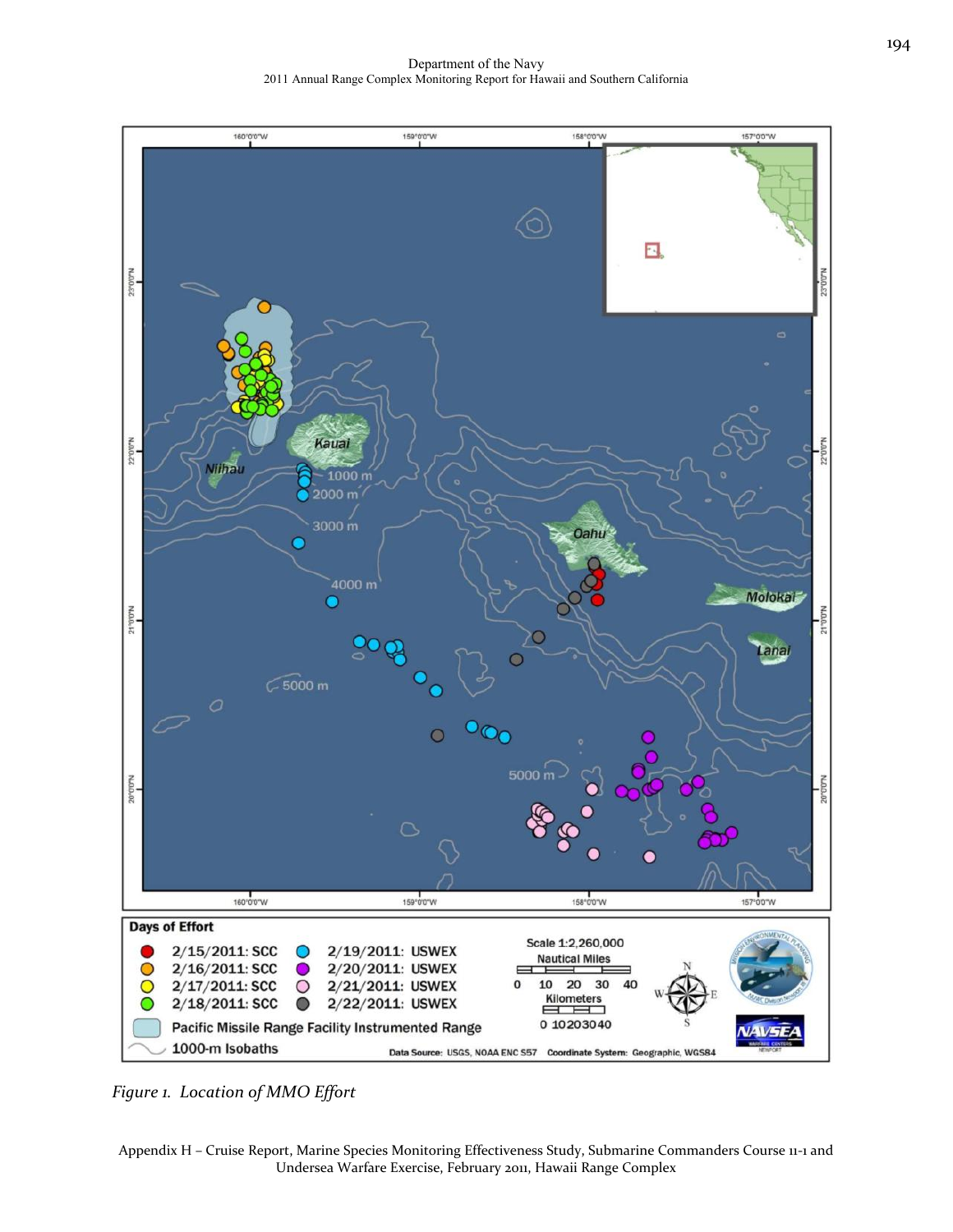Department of the Navy 2011 Annual Range Complex Monitoring Report for Hawaii and Southern California



*Figure 1. Location of MMO Effort*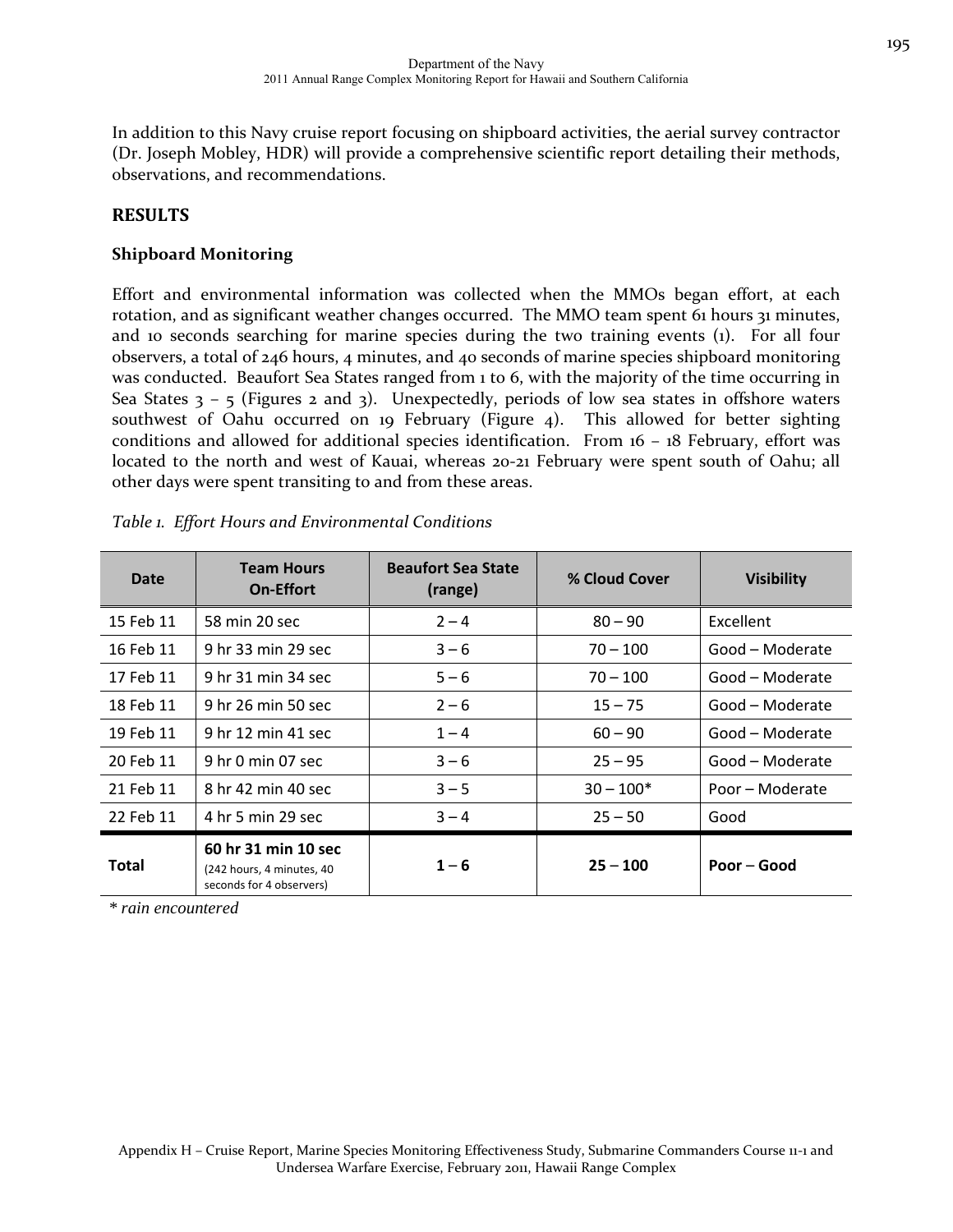In addition to this Navy cruise report focusing on shipboard activities, the aerial survey contractor (Dr. Joseph Mobley, HDR) will provide a comprehensive scientific report detailing their methods, observations, and recommendations.

## **RESULTS**

### **Shipboard Monitoring**

Effort and environmental information was collected when the MMOs began effort, at each rotation, and as significant weather changes occurred. The MMO team spent 61 hours 31 minutes, and 10 seconds searching for marine species during the two training events (1). For all four observers, a total of 246 hours, 4 minutes, and 40 seconds of marine species shipboard monitoring was conducted. Beaufort Sea States ranged from 1 to 6, with the majority of the time occurring in Sea States  $3 - 5$  (Figures 2 and 3). Unexpectedly, periods of low sea states in offshore waters southwest of Oahu occurred on 19 February (Figure 4). This allowed for better sighting conditions and allowed for additional species identification. From 16 - 18 February, effort was located to the north and west of Kauai, whereas 20‐21 February were spent south of Oahu; all other days were spent transiting to and from these areas.

| Date      | <b>Team Hours</b><br><b>On-Effort</b>                                        | <b>Beaufort Sea State</b><br>(range) | % Cloud Cover | <b>Visibility</b> |
|-----------|------------------------------------------------------------------------------|--------------------------------------|---------------|-------------------|
| 15 Feb 11 | 58 min 20 sec                                                                | $2 - 4$                              | $80 - 90$     | <b>Excellent</b>  |
| 16 Feb 11 | 9 hr 33 min 29 sec                                                           | $3 - 6$                              | $70 - 100$    | Good – Moderate   |
| 17 Feb 11 | 9 hr 31 min 34 sec                                                           | $5 - 6$                              | $70 - 100$    | Good – Moderate   |
| 18 Feb 11 | 9 hr 26 min 50 sec                                                           | $2 - 6$                              | $15 - 75$     | Good – Moderate   |
| 19 Feb 11 | 9 hr 12 min 41 sec                                                           | $1 - 4$                              | $60 - 90$     | Good – Moderate   |
| 20 Feb 11 | 9 hr 0 min 07 sec                                                            | $3 - 6$                              | $25 - 95$     | Good – Moderate   |
| 21 Feb 11 | 8 hr 42 min 40 sec                                                           | $3 - 5$                              | $30 - 100*$   | Poor – Moderate   |
| 22 Feb 11 | 4 hr 5 min 29 sec                                                            | $3 - 4$                              | $25 - 50$     | Good              |
| Total     | 60 hr 31 min 10 sec<br>(242 hours, 4 minutes, 40<br>seconds for 4 observers) | $1 - 6$                              | $25 - 100$    | Poor – Good       |

|  |  |  |  | Table 1. Effort Hours and Environmental Conditions |
|--|--|--|--|----------------------------------------------------|
|--|--|--|--|----------------------------------------------------|

*\* rain encountered*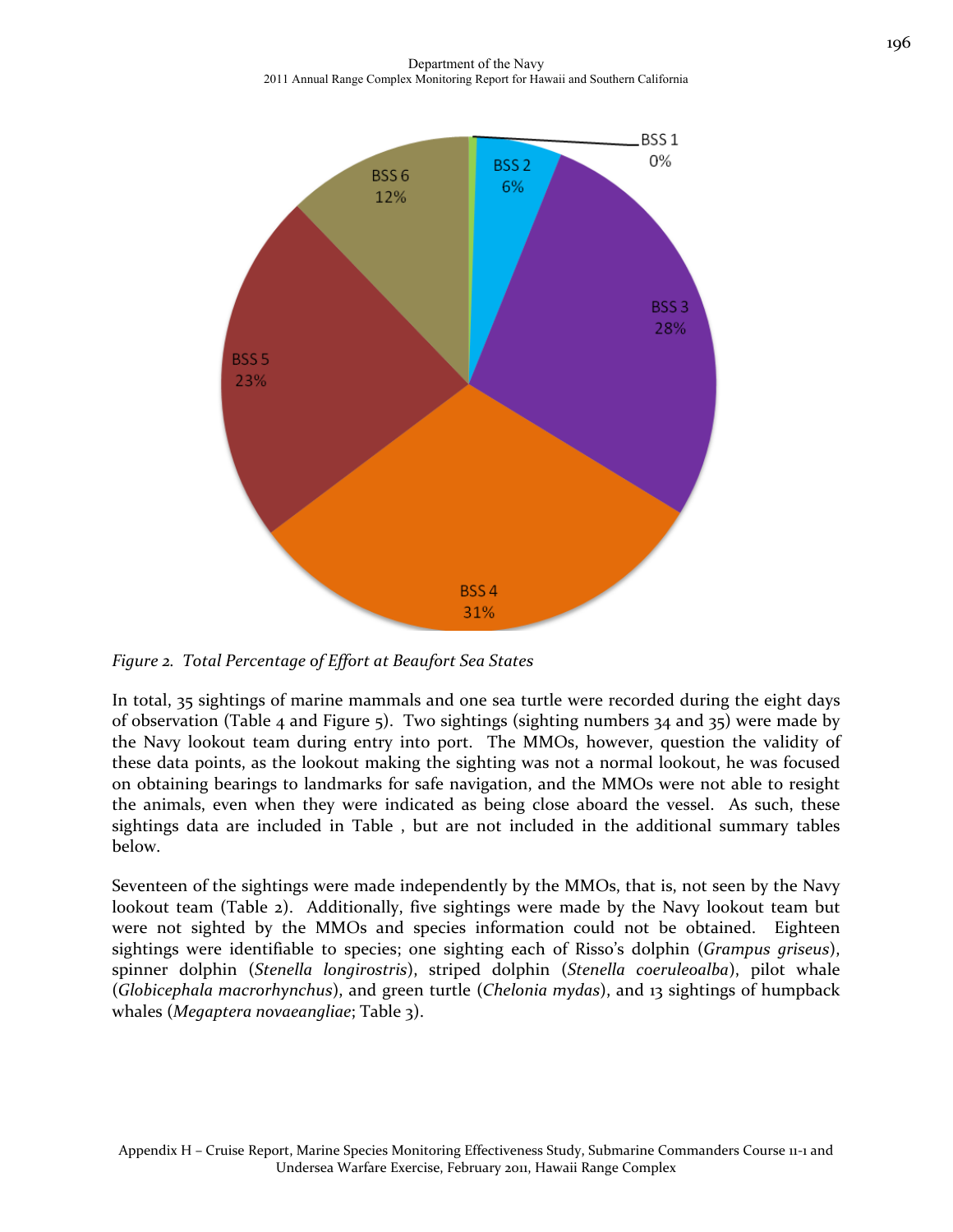Department of the Navy 2011 Annual Range Complex Monitoring Report for Hawaii and Southern California



*Figure 2. Total Percentage of Effort at Beaufort Sea States*

In total, 35 sightings of marine mammals and one sea turtle were recorded during the eight days of observation (Table 4 and Figure 5). Two sightings (sighting numbers 34 and 35) were made by the Navy lookout team during entry into port. The MMOs, however, question the validity of these data points, as the lookout making the sighting was not a normal lookout, he was focused on obtaining bearings to landmarks for safe navigation, and the MMOs were not able to resight the animals, even when they were indicated as being close aboard the vessel. As such, these sightings data are included in Table , but are not included in the additional summary tables below.

Seventeen of the sightings were made independently by the MMOs, that is, not seen by the Navy lookout team (Table 2). Additionally, five sightings were made by the Navy lookout team but were not sighted by the MMOs and species information could not be obtained. Eighteen sightings were identifiable to species; one sighting each of Risso's dolphin (*Grampus griseus*), spinner dolphin (*Stenella longirostris*), striped dolphin (*Stenella coeruleoalba*), pilot whale (*Globicephala macrorhynchus*), and green turtle (*Chelonia mydas*), and 13 sightings of humpback whales (*Megaptera novaeangliae*; Table 3).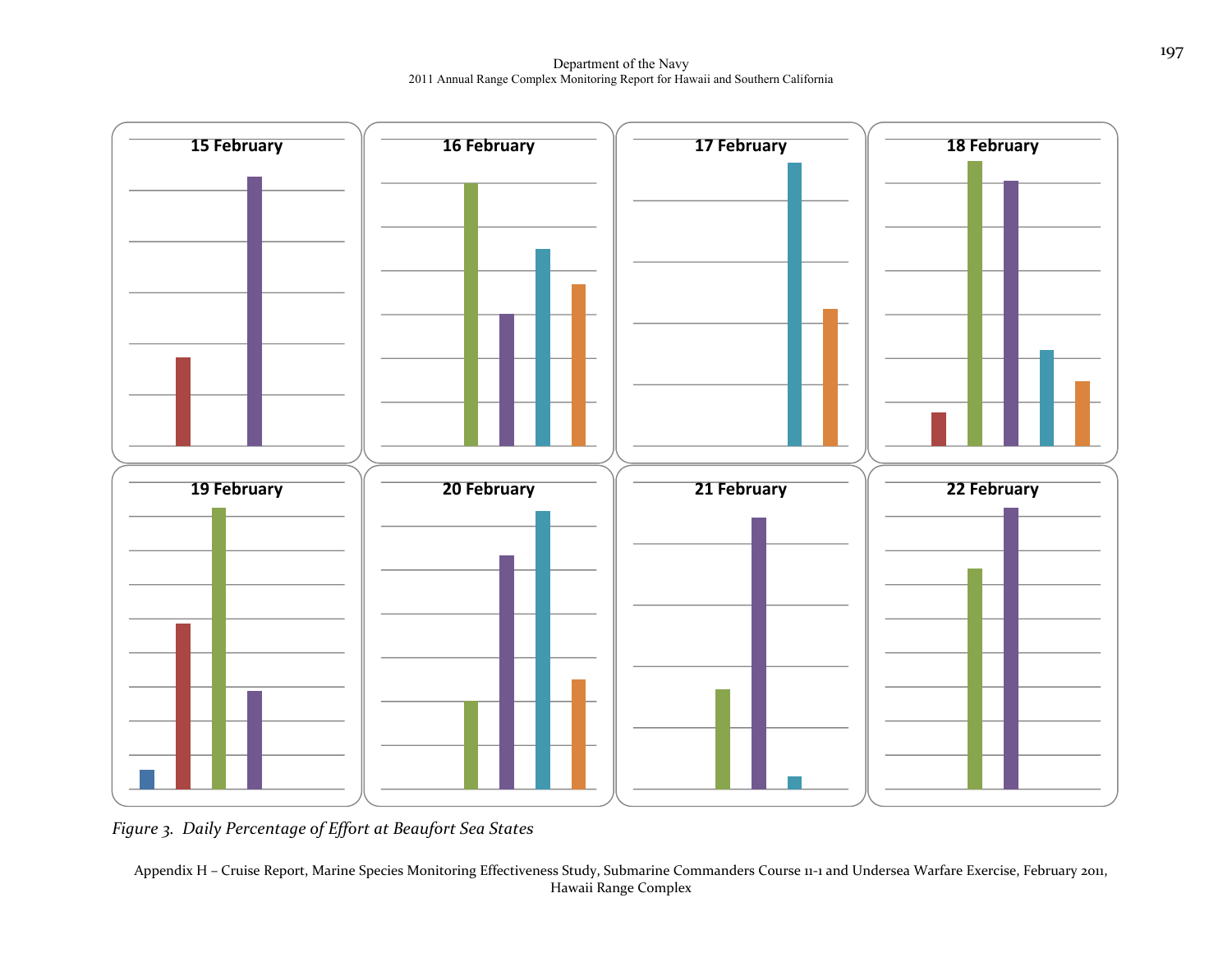Department of the Navy 2011 Annual Range Complex Monitoring Report for Hawaii and Southern California



*Figure 3. Daily Percentage of Effort at Beaufort Sea States*

Appendix <sup>H</sup> – Cruise Report, Marine Species Monitoring Effectiveness Study, Submarine Commanders Course <sup>11</sup>‐<sup>1</sup> and Undersea Warfare Exercise, February 2011, Hawaii Range Complex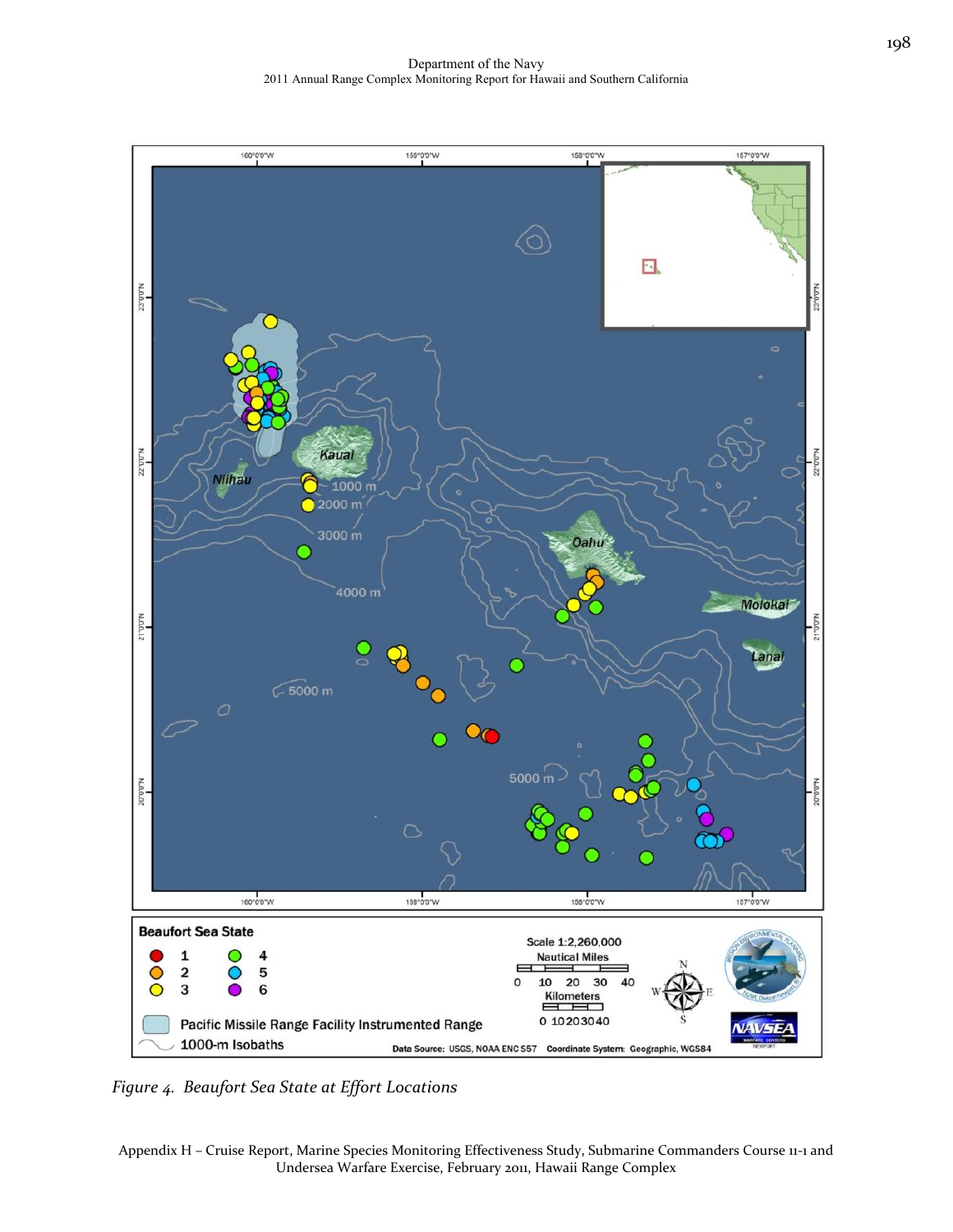

*Figure 4. Beaufort Sea State at Effort Locations*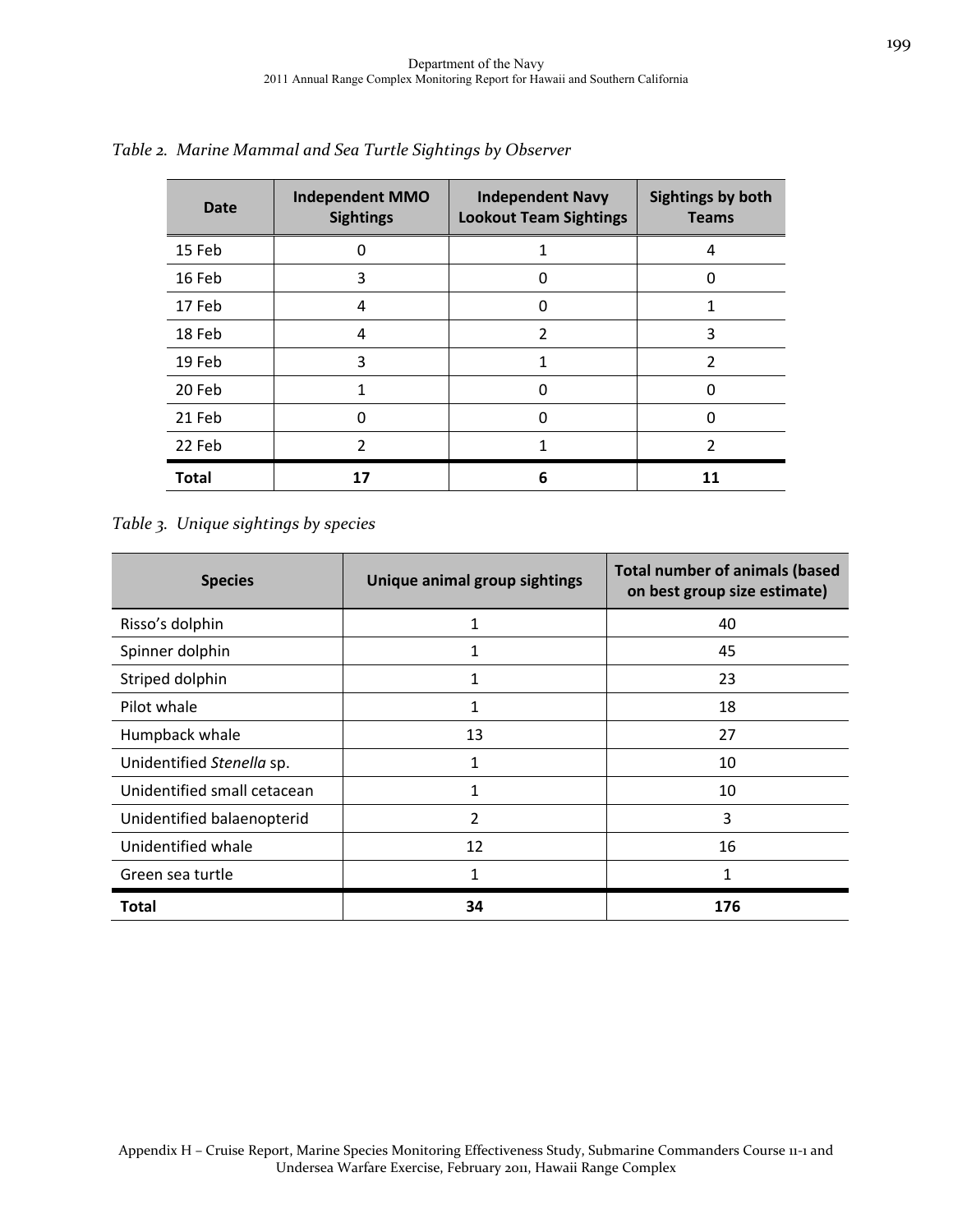| <b>Date</b>  | <b>Independent MMO</b><br><b>Sightings</b> | <b>Independent Navy</b><br><b>Lookout Team Sightings</b> | <b>Sightings by both</b><br><b>Teams</b> |
|--------------|--------------------------------------------|----------------------------------------------------------|------------------------------------------|
| 15 Feb       |                                            |                                                          | 4                                        |
| 16 Feb       | 3                                          |                                                          |                                          |
| 17 Feb       | 4                                          | U                                                        |                                          |
| 18 Feb       | 4                                          | າ                                                        | 3                                        |
| 19 Feb       | 3                                          |                                                          | 2                                        |
| 20 Feb       |                                            |                                                          |                                          |
| 21 Feb       |                                            |                                                          |                                          |
| 22 Feb       | 2                                          |                                                          | 2                                        |
| <b>Total</b> | 17                                         | 6                                                        | 11                                       |

*Table 2. Marine Mammal and Sea Turtle Sightings by Observer*

*Table 3. Unique sightings by species*

| <b>Species</b>              | Unique animal group sightings | <b>Total number of animals (based</b><br>on best group size estimate) |
|-----------------------------|-------------------------------|-----------------------------------------------------------------------|
| Risso's dolphin             | 1                             | 40                                                                    |
| Spinner dolphin             | 1                             | 45                                                                    |
| Striped dolphin             | $\mathbf{1}$                  | 23                                                                    |
| Pilot whale                 | $\mathbf{1}$                  | 18                                                                    |
| Humpback whale              | 13                            | 27                                                                    |
| Unidentified Stenella sp.   | 1                             | 10                                                                    |
| Unidentified small cetacean | 1                             | 10                                                                    |
| Unidentified balaenopterid  | 2                             | 3                                                                     |
| Unidentified whale          | 12                            | 16                                                                    |
| Green sea turtle            | 1                             | 1                                                                     |
| Total                       | 34                            | 176                                                                   |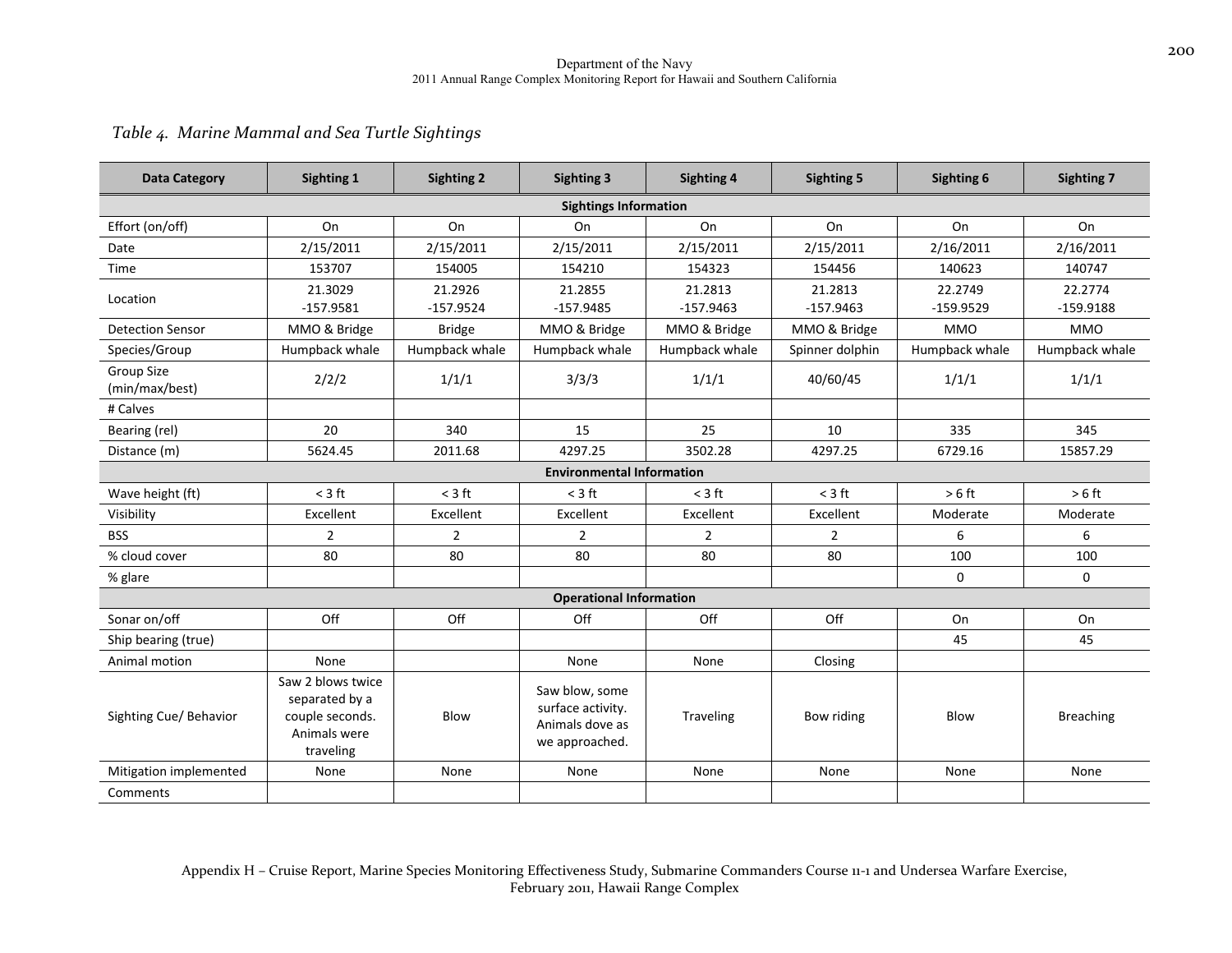### *Table 4. Marine Mammal and Sea Turtle Sightings*

| <b>Data Category</b>         | Sighting 1                                                                          | <b>Sighting 2</b> | <b>Sighting 3</b>                                                        | <b>Sighting 4</b> | <b>Sighting 5</b> | Sighting 6     | <b>Sighting 7</b> |  |
|------------------------------|-------------------------------------------------------------------------------------|-------------------|--------------------------------------------------------------------------|-------------------|-------------------|----------------|-------------------|--|
| <b>Sightings Information</b> |                                                                                     |                   |                                                                          |                   |                   |                |                   |  |
| Effort (on/off)              | On                                                                                  | On                | On                                                                       | On                | On                | On             | On                |  |
| Date                         | 2/15/2011                                                                           | 2/15/2011         | 2/15/2011                                                                | 2/15/2011         | 2/15/2011         | 2/16/2011      | 2/16/2011         |  |
| Time                         | 153707                                                                              | 154005            | 154210                                                                   | 154323            | 154456            | 140623         | 140747            |  |
| Location                     | 21.3029                                                                             | 21.2926           | 21.2855                                                                  | 21.2813           | 21.2813           | 22.2749        | 22.2774           |  |
|                              | $-157.9581$                                                                         | $-157.9524$       | $-157.9485$                                                              | $-157.9463$       | $-157.9463$       | $-159.9529$    | $-159.9188$       |  |
| <b>Detection Sensor</b>      | MMO & Bridge                                                                        | <b>Bridge</b>     | MMO & Bridge                                                             | MMO & Bridge      | MMO & Bridge      | <b>MMO</b>     | <b>MMO</b>        |  |
| Species/Group                | Humpback whale                                                                      | Humpback whale    | Humpback whale                                                           | Humpback whale    | Spinner dolphin   | Humpback whale | Humpback whale    |  |
| Group Size<br>(min/max/best) | 2/2/2                                                                               | 1/1/1             | 3/3/3                                                                    | 1/1/1             | 40/60/45          | 1/1/1          | 1/1/1             |  |
| # Calves                     |                                                                                     |                   |                                                                          |                   |                   |                |                   |  |
| Bearing (rel)                | 20                                                                                  | 340               | 15                                                                       | 25                | 10                | 335            | 345               |  |
| Distance (m)                 | 5624.45                                                                             | 2011.68           | 4297.25                                                                  | 3502.28           | 4297.25           | 6729.16        | 15857.29          |  |
|                              |                                                                                     |                   | <b>Environmental Information</b>                                         |                   |                   |                |                   |  |
| Wave height (ft)             | $<$ 3 ft                                                                            | $<$ 3 ft          | $<$ 3 ft                                                                 | $<$ 3 ft          | $<$ 3 ft          | $>6$ ft        | $> 6 \text{ ft}$  |  |
| Visibility                   | Excellent                                                                           | Excellent         | Excellent                                                                | Excellent         | Excellent         | Moderate       | Moderate          |  |
| <b>BSS</b>                   | 2                                                                                   | $\overline{2}$    | $\overline{2}$                                                           | $\overline{2}$    | $\overline{2}$    | 6              | 6                 |  |
| % cloud cover                | 80                                                                                  | 80                | 80                                                                       | 80                | 80                | 100            | 100               |  |
| % glare                      |                                                                                     |                   |                                                                          |                   |                   | $\mathbf 0$    | 0                 |  |
|                              |                                                                                     |                   | <b>Operational Information</b>                                           |                   |                   |                |                   |  |
| Sonar on/off                 | Off                                                                                 | Off               | Off                                                                      | Off               | Off               | On             | On                |  |
| Ship bearing (true)          |                                                                                     |                   |                                                                          |                   |                   | 45             | 45                |  |
| Animal motion                | None                                                                                |                   | None                                                                     | None              | Closing           |                |                   |  |
| Sighting Cue/ Behavior       | Saw 2 blows twice<br>separated by a<br>couple seconds.<br>Animals were<br>traveling | Blow              | Saw blow, some<br>surface activity.<br>Animals dove as<br>we approached. | <b>Traveling</b>  | Bow riding        | Blow           | <b>Breaching</b>  |  |
| Mitigation implemented       | None                                                                                | None              | None                                                                     | None              | None              | None           | None              |  |
| Comments                     |                                                                                     |                   |                                                                          |                   |                   |                |                   |  |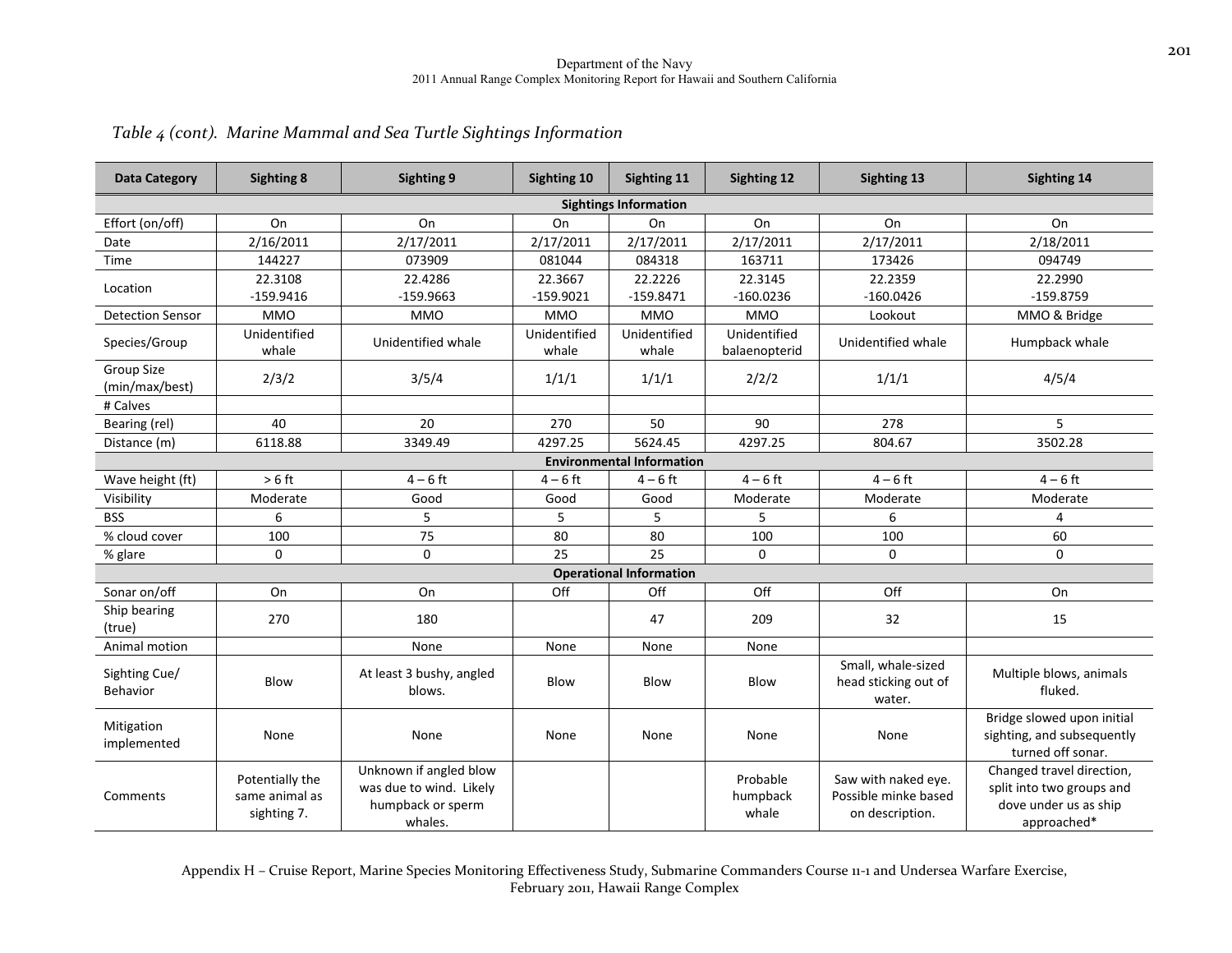| <b>Data Category</b>                | <b>Sighting 8</b>                                | Sighting 9                                                                        | Sighting 10            | Sighting 11                      | Sighting 12                   | Sighting 13                                                    | Sighting 14                                                                                    |
|-------------------------------------|--------------------------------------------------|-----------------------------------------------------------------------------------|------------------------|----------------------------------|-------------------------------|----------------------------------------------------------------|------------------------------------------------------------------------------------------------|
|                                     |                                                  |                                                                                   |                        | <b>Sightings Information</b>     |                               |                                                                |                                                                                                |
| Effort (on/off)                     | On                                               | On                                                                                | On                     | On                               | On                            | On                                                             | On                                                                                             |
| Date                                | 2/16/2011                                        | 2/17/2011                                                                         | 2/17/2011              | 2/17/2011                        | 2/17/2011                     | 2/17/2011                                                      | 2/18/2011                                                                                      |
| Time                                | 144227                                           | 073909                                                                            | 081044                 | 084318                           | 163711                        | 173426                                                         | 094749                                                                                         |
| Location                            | 22.3108<br>$-159.9416$                           | 22.4286<br>$-159.9663$                                                            | 22.3667<br>$-159.9021$ | 22.2226<br>$-159.8471$           | 22.3145<br>$-160.0236$        | 22.2359<br>$-160.0426$                                         | 22.2990<br>$-159.8759$                                                                         |
| <b>Detection Sensor</b>             | <b>MMO</b>                                       | <b>MMO</b>                                                                        | <b>MMO</b>             | <b>MMO</b>                       | <b>MMO</b>                    | Lookout                                                        | MMO & Bridge                                                                                   |
| Species/Group                       | Unidentified<br>whale                            | Unidentified whale                                                                | Unidentified<br>whale  | Unidentified<br>whale            | Unidentified<br>balaenopterid | Unidentified whale                                             | Humpback whale                                                                                 |
| <b>Group Size</b><br>(min/max/best) | 2/3/2                                            | 3/5/4                                                                             | 1/1/1                  | 1/1/1                            | 2/2/2                         | 1/1/1                                                          | 4/5/4                                                                                          |
| # Calves                            |                                                  |                                                                                   |                        |                                  |                               |                                                                |                                                                                                |
| Bearing (rel)                       | 40                                               | 20                                                                                | 270                    | 50                               | 90                            | 278                                                            | 5                                                                                              |
| Distance (m)                        | 6118.88                                          | 3349.49                                                                           | 4297.25                | 5624.45                          | 4297.25                       | 804.67                                                         | 3502.28                                                                                        |
|                                     |                                                  |                                                                                   |                        | <b>Environmental Information</b> |                               |                                                                |                                                                                                |
| Wave height (ft)                    | $> 6$ ft                                         | $4-6$ ft                                                                          | $4-6$ ft               | $4-6$ ft                         | $4-6$ ft                      | $4-6$ ft                                                       | $4 - 6$ ft                                                                                     |
| Visibility                          | Moderate                                         | Good                                                                              | Good                   | Good                             | Moderate                      | Moderate                                                       | Moderate                                                                                       |
| <b>BSS</b>                          | 6                                                | 5                                                                                 | 5                      | 5                                | 5                             | 6                                                              | 4                                                                                              |
| % cloud cover                       | 100                                              | 75                                                                                | 80                     | 80                               | 100                           | 100                                                            | 60                                                                                             |
| % glare                             | $\mathbf 0$                                      | 0                                                                                 | 25                     | 25                               | $\mathbf 0$                   | 0                                                              | 0                                                                                              |
|                                     |                                                  |                                                                                   |                        | <b>Operational Information</b>   |                               |                                                                |                                                                                                |
| Sonar on/off                        | On                                               | On                                                                                | Off                    | Off                              | Off                           | Off                                                            | On                                                                                             |
| Ship bearing<br>(true)              | 270                                              | 180                                                                               |                        | 47                               | 209                           | 32                                                             | 15                                                                                             |
| Animal motion                       |                                                  | None                                                                              | None                   | None                             | None                          |                                                                |                                                                                                |
| Sighting Cue/<br>Behavior           | Blow                                             | At least 3 bushy, angled<br>blows.                                                | Blow                   | Blow                             | Blow                          | Small, whale-sized<br>head sticking out of<br>water.           | Multiple blows, animals<br>fluked.                                                             |
| Mitigation<br>implemented           | None                                             | None                                                                              | None                   | None                             | None                          | None                                                           | Bridge slowed upon initial<br>sighting, and subsequently<br>turned off sonar.                  |
| Comments                            | Potentially the<br>same animal as<br>sighting 7. | Unknown if angled blow<br>was due to wind. Likely<br>humpback or sperm<br>whales. |                        |                                  | Probable<br>humpback<br>whale | Saw with naked eye.<br>Possible minke based<br>on description. | Changed travel direction,<br>split into two groups and<br>dove under us as ship<br>approached* |

### *Table <sup>4</sup> (cont). Marine Mammal and Sea Turtle Sightings Information*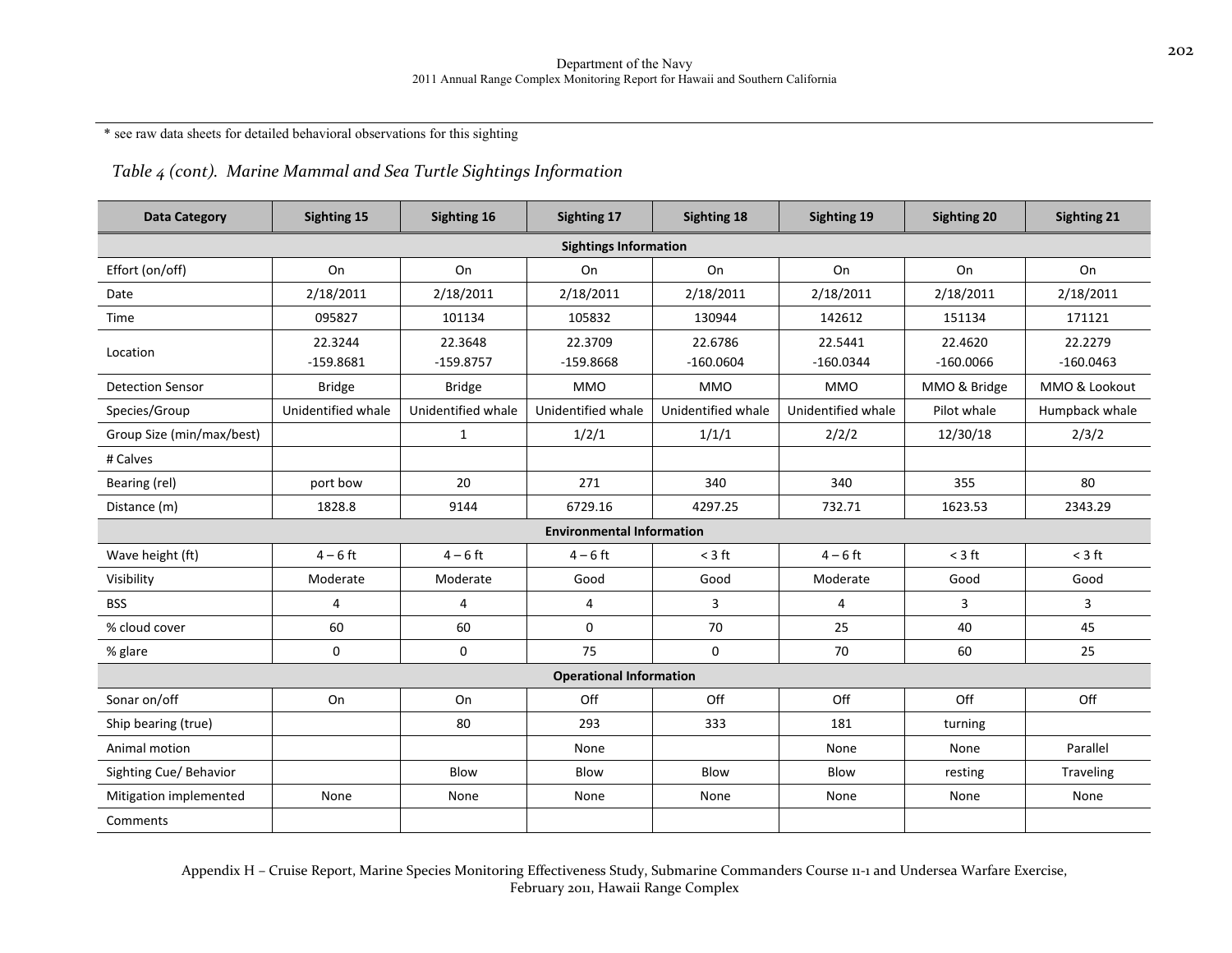\* see raw data sheets for detailed behavioral observations for this sighting

### *Table <sup>4</sup> (cont). Marine Mammal and Sea Turtle Sightings Information*

| <b>Data Category</b>           | Sighting 15            | Sighting 16            | Sighting 17                      | Sighting 18            | Sighting 19            | <b>Sighting 20</b>     | <b>Sighting 21</b>     |  |
|--------------------------------|------------------------|------------------------|----------------------------------|------------------------|------------------------|------------------------|------------------------|--|
| <b>Sightings Information</b>   |                        |                        |                                  |                        |                        |                        |                        |  |
| Effort (on/off)                | On                     | On                     | On                               | On                     | On                     | On                     | On                     |  |
| Date                           | 2/18/2011              | 2/18/2011              | 2/18/2011                        | 2/18/2011              | 2/18/2011              | 2/18/2011              | 2/18/2011              |  |
| Time                           | 095827                 | 101134                 | 105832                           | 130944                 | 142612                 | 151134                 | 171121                 |  |
| Location                       | 22.3244<br>$-159.8681$ | 22.3648<br>$-159.8757$ | 22.3709<br>$-159.8668$           | 22.6786<br>$-160.0604$ | 22.5441<br>$-160.0344$ | 22.4620<br>$-160.0066$ | 22.2279<br>$-160.0463$ |  |
| <b>Detection Sensor</b>        | <b>Bridge</b>          | <b>Bridge</b>          | <b>MMO</b>                       | <b>MMO</b>             | <b>MMO</b>             | MMO & Bridge           | MMO & Lookout          |  |
| Species/Group                  | Unidentified whale     | Unidentified whale     | Unidentified whale               | Unidentified whale     | Unidentified whale     | Pilot whale            | Humpback whale         |  |
| Group Size (min/max/best)      |                        | $\mathbf{1}$           | 1/2/1                            | 1/1/1                  | 2/2/2                  | 12/30/18               | 2/3/2                  |  |
| # Calves                       |                        |                        |                                  |                        |                        |                        |                        |  |
| Bearing (rel)                  | port bow               | 20                     | 271                              | 340                    | 340                    | 355                    | 80                     |  |
| Distance (m)                   | 1828.8                 | 9144                   | 6729.16                          | 4297.25                | 732.71                 | 1623.53                | 2343.29                |  |
|                                |                        |                        | <b>Environmental Information</b> |                        |                        |                        |                        |  |
| Wave height (ft)               | $4 - 6$ ft             | $4-6$ ft               | $4 - 6$ ft                       | $<$ 3 ft               | $4 - 6$ ft             | $<$ 3 ft               | $<$ 3 ft               |  |
| Visibility                     | Moderate               | Moderate               | Good                             | Good                   | Moderate               | Good                   | Good                   |  |
| <b>BSS</b>                     | 4                      | 4                      | $\overline{4}$                   | 3                      | 4                      | 3                      | 3                      |  |
| % cloud cover                  | 60                     | 60                     | $\mathbf 0$                      | 70                     | 25                     | 40                     | 45                     |  |
| % glare                        | $\mathbf 0$            | $\mathbf 0$            | 75                               | $\Omega$               | 70                     | 60                     | 25                     |  |
| <b>Operational Information</b> |                        |                        |                                  |                        |                        |                        |                        |  |
| Sonar on/off                   | On                     | On                     | Off                              | Off                    | Off                    | Off                    | Off                    |  |
| Ship bearing (true)            |                        | 80                     | 293                              | 333                    | 181                    | turning                |                        |  |
| Animal motion                  |                        |                        | None                             |                        | None                   | None                   | Parallel               |  |
| Sighting Cue/ Behavior         |                        | Blow                   | Blow                             | Blow                   | Blow                   | resting                | Traveling              |  |
| Mitigation implemented         | None                   | None                   | None                             | None                   | None                   | None                   | None                   |  |
| Comments                       |                        |                        |                                  |                        |                        |                        |                        |  |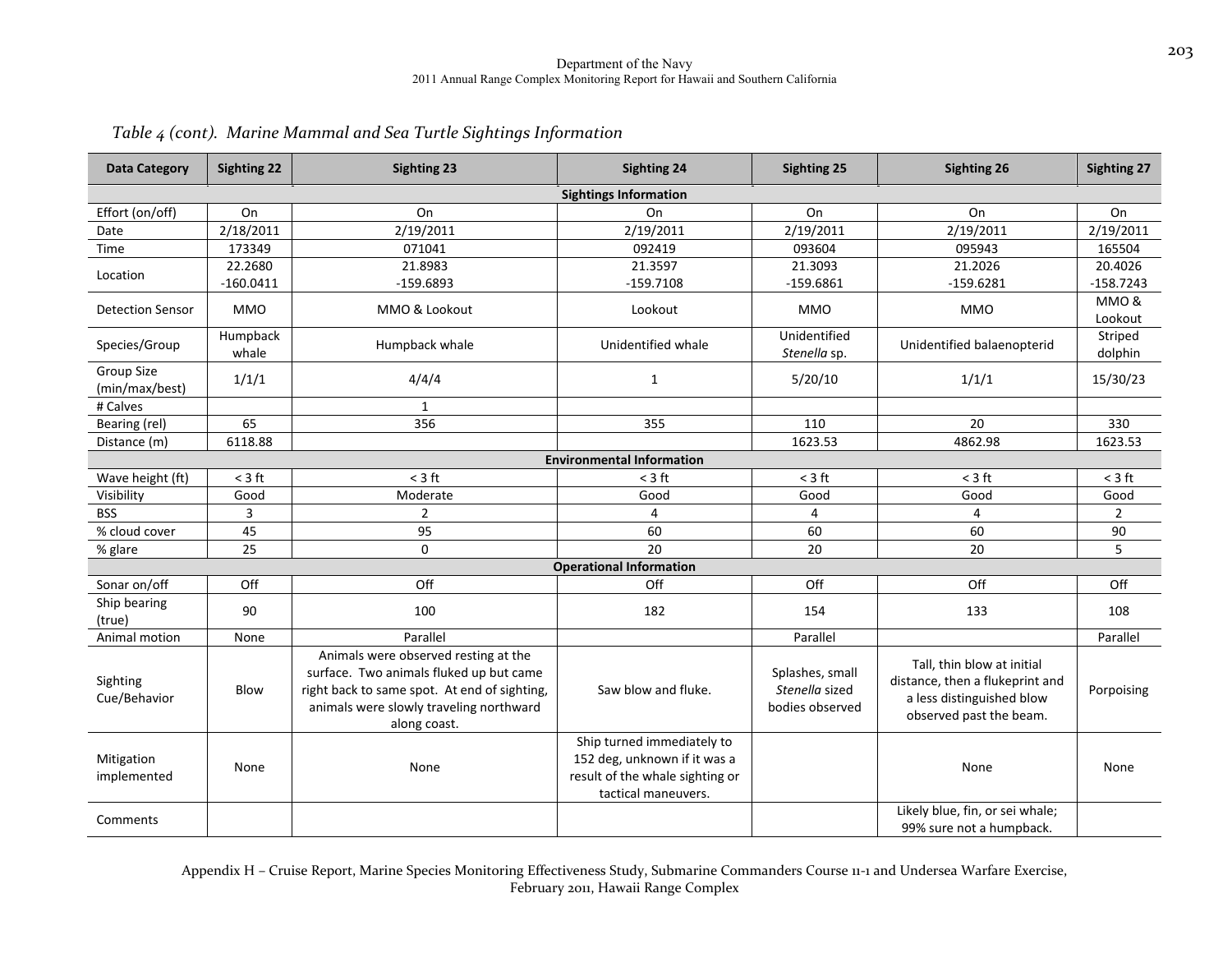| <b>Data Category</b>         | <b>Sighting 22</b> | <b>Sighting 23</b>                                                                                                                                                                         | <b>Sighting 24</b>                                                                                                   | <b>Sighting 25</b>                                   | <b>Sighting 26</b>                                                                                                    | <b>Sighting 27</b> |
|------------------------------|--------------------|--------------------------------------------------------------------------------------------------------------------------------------------------------------------------------------------|----------------------------------------------------------------------------------------------------------------------|------------------------------------------------------|-----------------------------------------------------------------------------------------------------------------------|--------------------|
|                              |                    |                                                                                                                                                                                            | <b>Sightings Information</b>                                                                                         |                                                      |                                                                                                                       |                    |
| Effort (on/off)              | On                 | On                                                                                                                                                                                         | On                                                                                                                   | On                                                   | On                                                                                                                    | On                 |
| Date                         | 2/18/2011          | 2/19/2011                                                                                                                                                                                  | 2/19/2011                                                                                                            | 2/19/2011                                            | 2/19/2011                                                                                                             | 2/19/2011          |
| Time                         | 173349             | 071041                                                                                                                                                                                     | 092419                                                                                                               | 093604                                               | 095943                                                                                                                | 165504             |
| Location                     | 22.2680            | 21.8983                                                                                                                                                                                    | 21.3597                                                                                                              | 21.3093                                              | 21.2026                                                                                                               | 20.4026            |
|                              | $-160.0411$        | $-159.6893$                                                                                                                                                                                | $-159.7108$                                                                                                          | $-159.6861$                                          | $-159.6281$                                                                                                           | $-158.7243$        |
| <b>Detection Sensor</b>      | <b>MMO</b>         | MMO & Lookout                                                                                                                                                                              | Lookout                                                                                                              | <b>MMO</b>                                           | <b>MMO</b>                                                                                                            | MMO&<br>Lookout    |
| Species/Group                | Humpback<br>whale  | Humpback whale                                                                                                                                                                             | Unidentified whale                                                                                                   | Unidentified<br>Stenella sp.                         | Unidentified balaenopterid                                                                                            | Striped<br>dolphin |
| Group Size<br>(min/max/best) | 1/1/1              | 4/4/4                                                                                                                                                                                      | $\mathbf{1}$                                                                                                         | 5/20/10                                              | 1/1/1                                                                                                                 | 15/30/23           |
| # Calves                     |                    | $\mathbf{1}$                                                                                                                                                                               |                                                                                                                      |                                                      |                                                                                                                       |                    |
| Bearing (rel)                | 65                 | 356                                                                                                                                                                                        | 355                                                                                                                  | 110                                                  | 20                                                                                                                    | 330                |
| Distance (m)                 | 6118.88            |                                                                                                                                                                                            |                                                                                                                      | 1623.53                                              | 4862.98                                                                                                               | 1623.53            |
|                              |                    |                                                                                                                                                                                            | <b>Environmental Information</b>                                                                                     |                                                      |                                                                                                                       |                    |
| Wave height (ft)             | $<$ 3 ft           | $<$ 3 ft                                                                                                                                                                                   | $<$ 3 ft                                                                                                             | $<$ 3 ft                                             | $<$ 3 ft                                                                                                              | $<$ 3 ft           |
| Visibility                   | Good               | Moderate                                                                                                                                                                                   | Good                                                                                                                 | Good                                                 | Good                                                                                                                  | Good               |
| <b>BSS</b>                   | 3                  | $\overline{2}$                                                                                                                                                                             | $\overline{4}$                                                                                                       | $\overline{4}$                                       | $\overline{4}$                                                                                                        | $\overline{2}$     |
| % cloud cover                | 45                 | 95                                                                                                                                                                                         | 60                                                                                                                   | 60                                                   | 60                                                                                                                    | 90                 |
| % glare                      | 25                 | $\mathbf 0$                                                                                                                                                                                | 20                                                                                                                   | 20                                                   | 20                                                                                                                    | 5                  |
|                              |                    |                                                                                                                                                                                            | <b>Operational Information</b>                                                                                       |                                                      |                                                                                                                       |                    |
| Sonar on/off                 | Off                | Off                                                                                                                                                                                        | Off                                                                                                                  | Off                                                  | Off                                                                                                                   | Off                |
| Ship bearing<br>(true)       | 90                 | 100                                                                                                                                                                                        | 182                                                                                                                  | 154                                                  | 133                                                                                                                   | 108                |
| Animal motion                | None               | Parallel                                                                                                                                                                                   |                                                                                                                      | Parallel                                             |                                                                                                                       | Parallel           |
| Sighting<br>Cue/Behavior     | Blow               | Animals were observed resting at the<br>surface. Two animals fluked up but came<br>right back to same spot. At end of sighting,<br>animals were slowly traveling northward<br>along coast. | Saw blow and fluke.                                                                                                  | Splashes, small<br>Stenella sized<br>bodies observed | Tall, thin blow at initial<br>distance, then a flukeprint and<br>a less distinguished blow<br>observed past the beam. | Porpoising         |
| Mitigation<br>implemented    | None               | None                                                                                                                                                                                       | Ship turned immediately to<br>152 deg, unknown if it was a<br>result of the whale sighting or<br>tactical maneuvers. |                                                      | None                                                                                                                  | None               |
| Comments                     |                    |                                                                                                                                                                                            |                                                                                                                      |                                                      | Likely blue, fin, or sei whale;<br>99% sure not a humpback.                                                           |                    |

### *Table <sup>4</sup> (cont). Marine Mammal and Sea Turtle Sightings Information*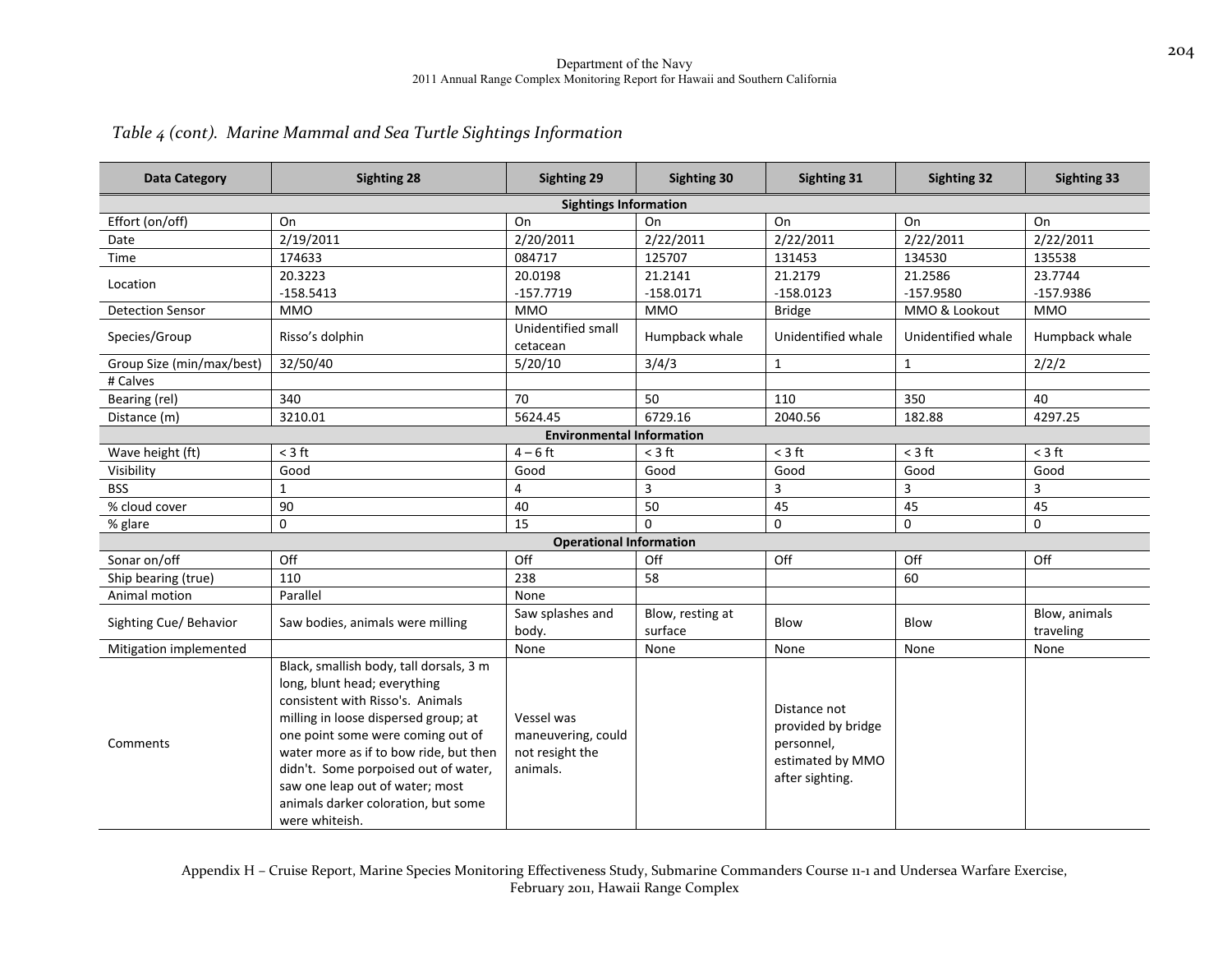| <b>Data Category</b>      | <b>Sighting 28</b>                                                                                                                                                                                                                                                                                                                                                     | Sighting 29                                                     | Sighting 30                 | Sighting 31                                                                             | <b>Sighting 32</b> | <b>Sighting 33</b>         |
|---------------------------|------------------------------------------------------------------------------------------------------------------------------------------------------------------------------------------------------------------------------------------------------------------------------------------------------------------------------------------------------------------------|-----------------------------------------------------------------|-----------------------------|-----------------------------------------------------------------------------------------|--------------------|----------------------------|
|                           |                                                                                                                                                                                                                                                                                                                                                                        | <b>Sightings Information</b>                                    |                             |                                                                                         |                    |                            |
| Effort (on/off)           | On                                                                                                                                                                                                                                                                                                                                                                     | On                                                              | On                          | On                                                                                      | On                 | On                         |
| Date                      | 2/19/2011                                                                                                                                                                                                                                                                                                                                                              | 2/20/2011                                                       | 2/22/2011                   | 2/22/2011                                                                               | 2/22/2011          | 2/22/2011                  |
| Time                      | 174633                                                                                                                                                                                                                                                                                                                                                                 | 084717                                                          | 125707                      | 131453                                                                                  | 134530             | 135538                     |
| Location                  | 20.3223                                                                                                                                                                                                                                                                                                                                                                | 20.0198                                                         | 21.2141                     | 21.2179                                                                                 | 21.2586            | 23.7744                    |
|                           | $-158.5413$                                                                                                                                                                                                                                                                                                                                                            | $-157.7719$                                                     | $-158.0171$                 | $-158.0123$                                                                             | $-157.9580$        | $-157.9386$                |
| <b>Detection Sensor</b>   | <b>MMO</b>                                                                                                                                                                                                                                                                                                                                                             | <b>MMO</b>                                                      | <b>MMO</b>                  | <b>Bridge</b>                                                                           | MMO & Lookout      | <b>MMO</b>                 |
| Species/Group             | Risso's dolphin                                                                                                                                                                                                                                                                                                                                                        | Unidentified small<br>cetacean                                  | Humpback whale              | Unidentified whale                                                                      | Unidentified whale | Humpback whale             |
| Group Size (min/max/best) | 32/50/40                                                                                                                                                                                                                                                                                                                                                               | 5/20/10                                                         | 3/4/3                       | $\mathbf{1}$                                                                            | $\mathbf{1}$       | 2/2/2                      |
| # Calves                  |                                                                                                                                                                                                                                                                                                                                                                        |                                                                 |                             |                                                                                         |                    |                            |
| Bearing (rel)             | 340                                                                                                                                                                                                                                                                                                                                                                    | 70                                                              | 50                          | 110                                                                                     | 350                | 40                         |
| Distance (m)              | 3210.01                                                                                                                                                                                                                                                                                                                                                                | 5624.45                                                         | 6729.16                     | 2040.56                                                                                 | 182.88             | 4297.25                    |
|                           |                                                                                                                                                                                                                                                                                                                                                                        | <b>Environmental Information</b>                                |                             |                                                                                         |                    |                            |
| Wave height (ft)          | $<$ 3 ft                                                                                                                                                                                                                                                                                                                                                               | $4-6$ ft                                                        | $< 3 \text{ ft}$            | $<$ 3 ft                                                                                | $<$ 3 ft           | $<$ 3 ft                   |
| Visibility                | Good                                                                                                                                                                                                                                                                                                                                                                   | Good                                                            | Good                        | Good                                                                                    | Good               | Good                       |
| <b>BSS</b>                | $\mathbf{1}$                                                                                                                                                                                                                                                                                                                                                           | $\overline{4}$                                                  | 3                           | 3                                                                                       | 3                  | 3                          |
| % cloud cover             | 90                                                                                                                                                                                                                                                                                                                                                                     | 40                                                              | 50                          | 45                                                                                      | 45                 | 45                         |
| % glare                   | $\mathbf 0$                                                                                                                                                                                                                                                                                                                                                            | 15                                                              | $\Omega$                    | 0                                                                                       | $\mathbf 0$        | $\mathbf 0$                |
|                           |                                                                                                                                                                                                                                                                                                                                                                        | <b>Operational Information</b>                                  |                             |                                                                                         |                    |                            |
| Sonar on/off              | Off                                                                                                                                                                                                                                                                                                                                                                    | Off                                                             | Off                         | Off                                                                                     | Off                | Off                        |
| Ship bearing (true)       | 110                                                                                                                                                                                                                                                                                                                                                                    | 238                                                             | 58                          |                                                                                         | 60                 |                            |
| Animal motion             | Parallel                                                                                                                                                                                                                                                                                                                                                               | None                                                            |                             |                                                                                         |                    |                            |
| Sighting Cue/ Behavior    | Saw bodies, animals were milling                                                                                                                                                                                                                                                                                                                                       | Saw splashes and<br>body.                                       | Blow, resting at<br>surface | Blow                                                                                    | Blow               | Blow, animals<br>traveling |
| Mitigation implemented    |                                                                                                                                                                                                                                                                                                                                                                        | None                                                            | None                        | None                                                                                    | None               | None                       |
| Comments                  | Black, smallish body, tall dorsals, 3 m<br>long, blunt head; everything<br>consistent with Risso's. Animals<br>milling in loose dispersed group; at<br>one point some were coming out of<br>water more as if to bow ride, but then<br>didn't. Some porpoised out of water,<br>saw one leap out of water; most<br>animals darker coloration, but some<br>were whiteish. | Vessel was<br>maneuvering, could<br>not resight the<br>animals. |                             | Distance not<br>provided by bridge<br>personnel,<br>estimated by MMO<br>after sighting. |                    |                            |

### *Table <sup>4</sup> (cont). Marine Mammal and Sea Turtle Sightings Information*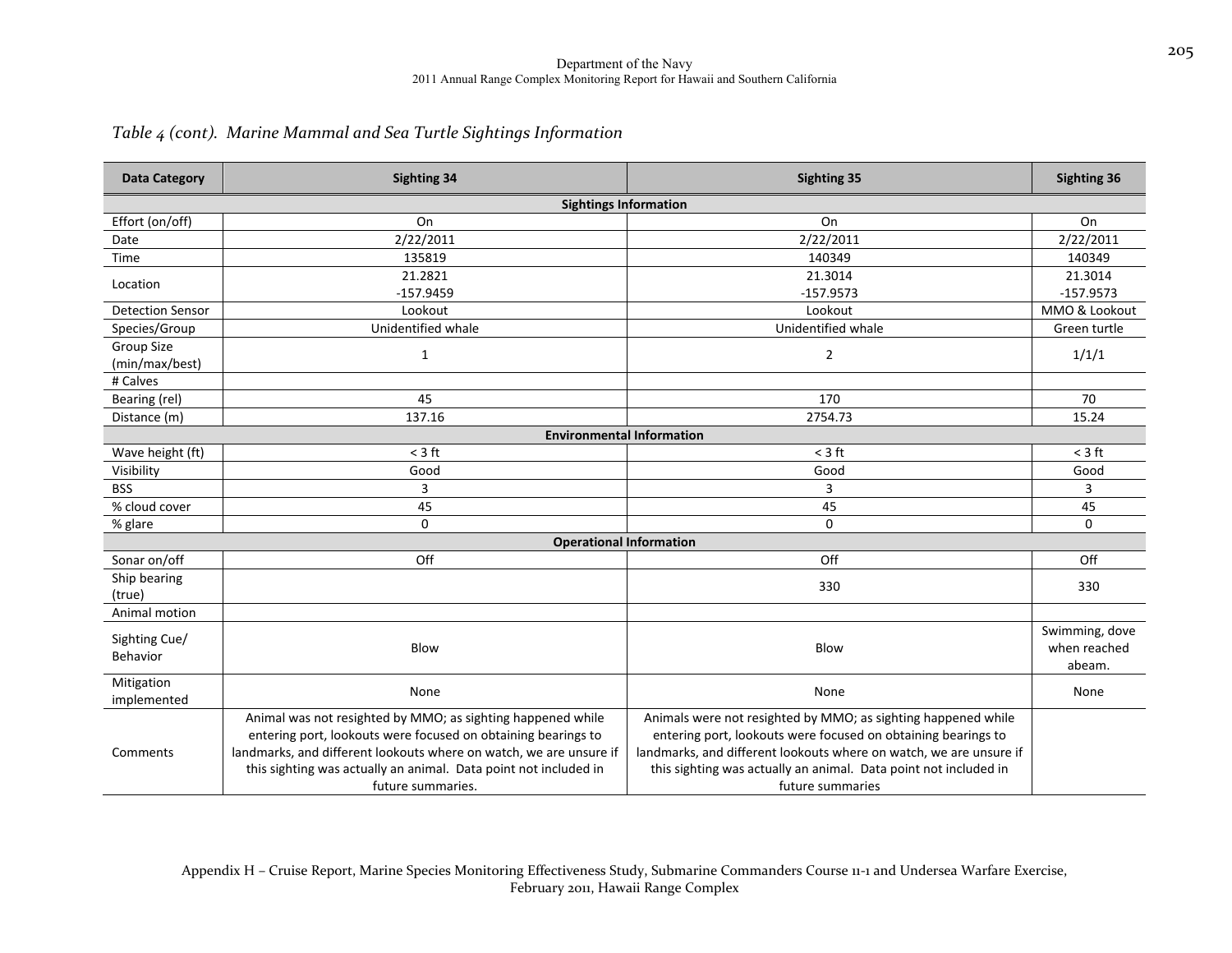### *Table <sup>4</sup> (cont). Marine Mammal and Sea Turtle Sightings Information*

| <b>Data Category</b>         | <b>Sighting 34</b>                                                                                                                                                                                                                                                                          | <b>Sighting 35</b>                                                                                                                                                                                                                                                                           | <b>Sighting 36</b>                       |
|------------------------------|---------------------------------------------------------------------------------------------------------------------------------------------------------------------------------------------------------------------------------------------------------------------------------------------|----------------------------------------------------------------------------------------------------------------------------------------------------------------------------------------------------------------------------------------------------------------------------------------------|------------------------------------------|
|                              | <b>Sightings Information</b>                                                                                                                                                                                                                                                                |                                                                                                                                                                                                                                                                                              |                                          |
| Effort (on/off)              | On                                                                                                                                                                                                                                                                                          | On                                                                                                                                                                                                                                                                                           | On                                       |
| Date                         | 2/22/2011                                                                                                                                                                                                                                                                                   | 2/22/2011                                                                                                                                                                                                                                                                                    | 2/22/2011                                |
| Time                         | 135819                                                                                                                                                                                                                                                                                      | 140349                                                                                                                                                                                                                                                                                       | 140349                                   |
| Location                     | 21.2821                                                                                                                                                                                                                                                                                     | 21.3014                                                                                                                                                                                                                                                                                      | 21.3014                                  |
|                              | $-157.9459$                                                                                                                                                                                                                                                                                 | $-157.9573$                                                                                                                                                                                                                                                                                  | $-157.9573$                              |
| <b>Detection Sensor</b>      | Lookout                                                                                                                                                                                                                                                                                     | Lookout                                                                                                                                                                                                                                                                                      | MMO & Lookout                            |
| Species/Group                | Unidentified whale                                                                                                                                                                                                                                                                          | Unidentified whale                                                                                                                                                                                                                                                                           | Green turtle                             |
| Group Size<br>(min/max/best) | $\mathbf{1}$                                                                                                                                                                                                                                                                                | $\overline{2}$                                                                                                                                                                                                                                                                               | 1/1/1                                    |
| # Calves                     |                                                                                                                                                                                                                                                                                             |                                                                                                                                                                                                                                                                                              |                                          |
| Bearing (rel)                | 45                                                                                                                                                                                                                                                                                          | 170                                                                                                                                                                                                                                                                                          | 70                                       |
| Distance (m)                 | 137.16                                                                                                                                                                                                                                                                                      | 2754.73                                                                                                                                                                                                                                                                                      | 15.24                                    |
|                              | <b>Environmental Information</b>                                                                                                                                                                                                                                                            |                                                                                                                                                                                                                                                                                              |                                          |
| Wave height (ft)             | $<$ 3 ft                                                                                                                                                                                                                                                                                    | $<$ 3 ft                                                                                                                                                                                                                                                                                     | $<$ 3 ft                                 |
| Visibility                   | Good                                                                                                                                                                                                                                                                                        | Good                                                                                                                                                                                                                                                                                         | Good                                     |
| <b>BSS</b>                   | 3                                                                                                                                                                                                                                                                                           | 3                                                                                                                                                                                                                                                                                            | 3                                        |
| % cloud cover                | 45                                                                                                                                                                                                                                                                                          | 45                                                                                                                                                                                                                                                                                           | 45                                       |
| % glare                      | $\mathbf 0$                                                                                                                                                                                                                                                                                 | 0                                                                                                                                                                                                                                                                                            | $\mathbf 0$                              |
|                              | <b>Operational Information</b>                                                                                                                                                                                                                                                              |                                                                                                                                                                                                                                                                                              |                                          |
| Sonar on/off                 | Off                                                                                                                                                                                                                                                                                         | Off                                                                                                                                                                                                                                                                                          | Off                                      |
| Ship bearing<br>(true)       |                                                                                                                                                                                                                                                                                             | 330                                                                                                                                                                                                                                                                                          | 330                                      |
| Animal motion                |                                                                                                                                                                                                                                                                                             |                                                                                                                                                                                                                                                                                              |                                          |
| Sighting Cue/<br>Behavior    | Blow                                                                                                                                                                                                                                                                                        | Blow                                                                                                                                                                                                                                                                                         | Swimming, dove<br>when reached<br>abeam. |
| Mitigation<br>implemented    | None                                                                                                                                                                                                                                                                                        | None                                                                                                                                                                                                                                                                                         | None                                     |
| Comments                     | Animal was not resighted by MMO; as sighting happened while<br>entering port, lookouts were focused on obtaining bearings to<br>landmarks, and different lookouts where on watch, we are unsure if<br>this sighting was actually an animal. Data point not included in<br>future summaries. | Animals were not resighted by MMO; as sighting happened while<br>entering port, lookouts were focused on obtaining bearings to<br>landmarks, and different lookouts where on watch, we are unsure if<br>this sighting was actually an animal. Data point not included in<br>future summaries |                                          |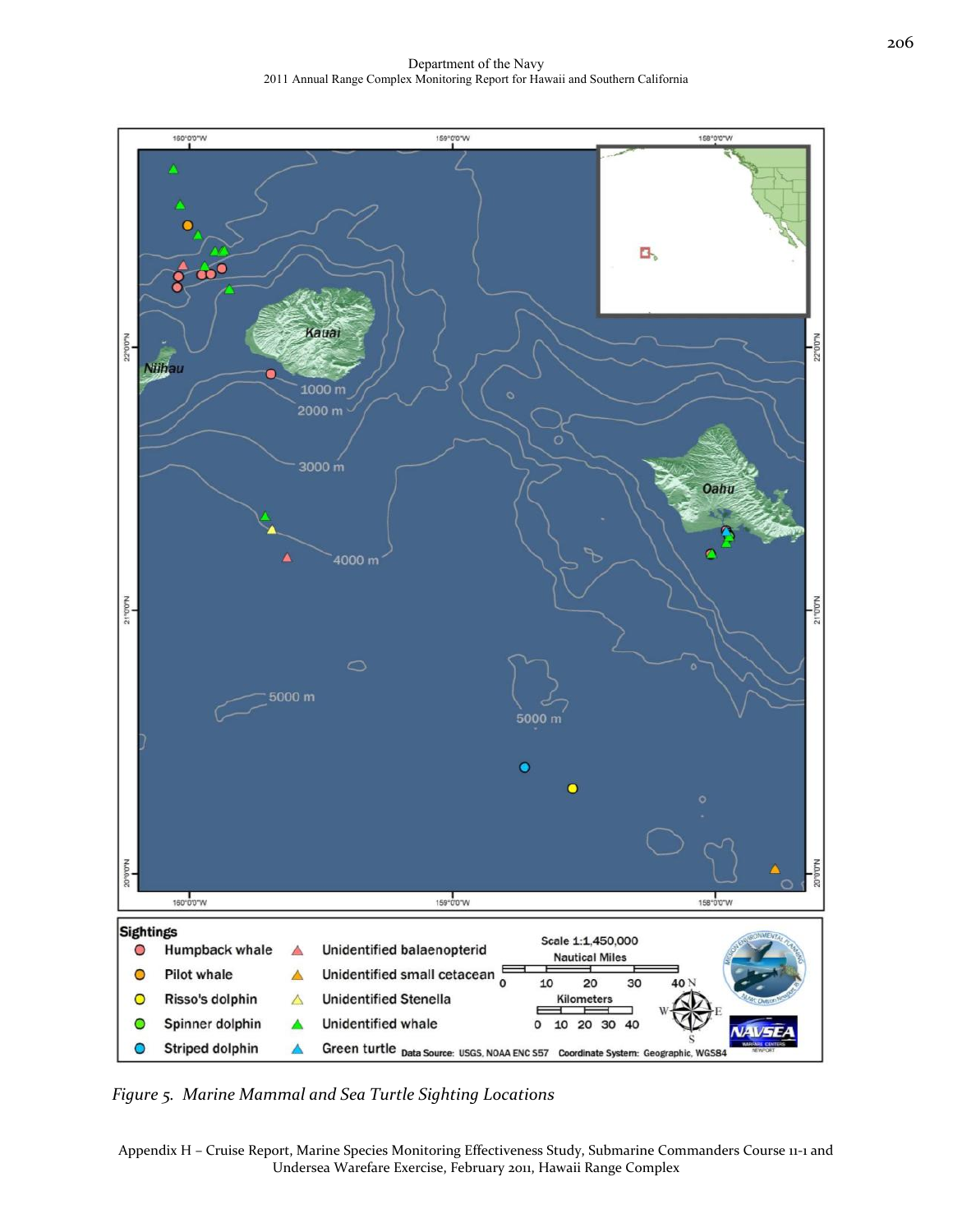Department of the Navy 2011 Annual Range Complex Monitoring Report for Hawaii and Southern California



*Figure 5. Marine Mammal and Sea Turtle Sighting Locations*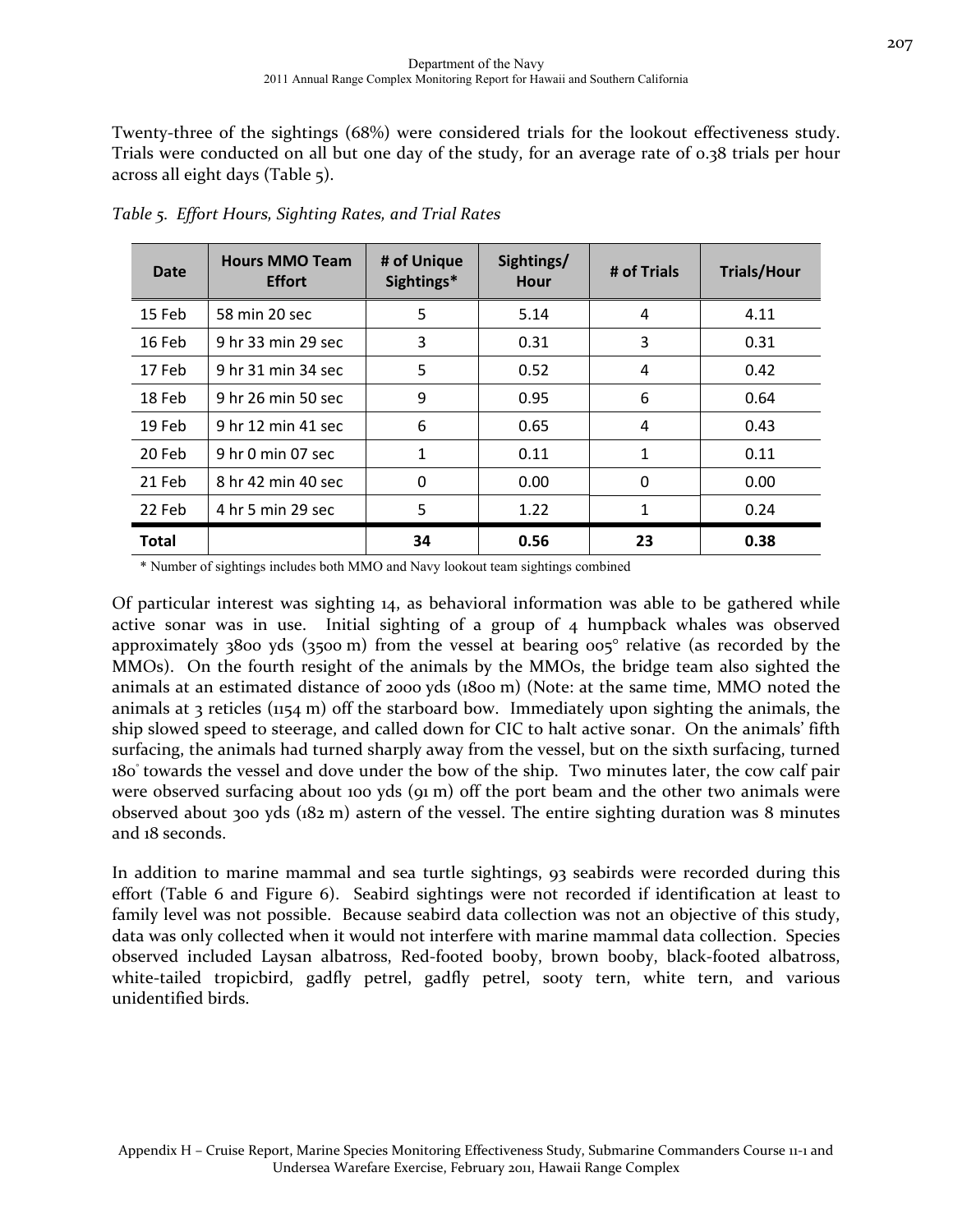Twenty-three of the sightings (68%) were considered trials for the lookout effectiveness study. Trials were conducted on all but one day of the study, for an average rate of 0.38 trials per hour across all eight days (Table 5).

| Date         | <b>Hours MMO Team</b><br><b>Effort</b> | # of Unique<br>Sightings* | Sightings/<br>Hour | # of Trials | <b>Trials/Hour</b> |
|--------------|----------------------------------------|---------------------------|--------------------|-------------|--------------------|
| 15 Feb       | 58 min 20 sec                          | 5                         | 5.14               | 4           | 4.11               |
| 16 Feb       | 9 hr 33 min 29 sec                     | 3                         | 0.31               | 3           | 0.31               |
| 17 Feb       | 9 hr 31 min 34 sec                     | 5                         | 0.52               | 4           | 0.42               |
| 18 Feb       | 9 hr 26 min 50 sec                     | 9                         | 0.95               | 6           | 0.64               |
| 19 Feb       | 9 hr 12 min 41 sec                     | 6                         | 0.65               | 4           | 0.43               |
| 20 Feb       | 9 hr 0 min 07 sec                      | 1                         | 0.11               | 1           | 0.11               |
| 21 Feb       | 8 hr 42 min 40 sec                     | 0                         | 0.00               | 0           | 0.00               |
| 22 Feb       | 4 hr 5 min 29 sec                      | 5                         | 1.22               | 1           | 0.24               |
| <b>Total</b> |                                        | 34                        | 0.56               | 23          | 0.38               |

*Table 5. Effort Hours, Sighting Rates, and Trial Rates*

\* Number of sightings includes both MMO and Navy lookout team sightings combined

Of particular interest was sighting 14, as behavioral information was able to be gathered while active sonar was in use. Initial sighting of a group of 4 humpback whales was observed approximately 3800 yds (3500 m) from the vessel at bearing 005° relative (as recorded by the MMOs). On the fourth resight of the animals by the MMOs, the bridge team also sighted the animals at an estimated distance of 2000 yds (1800 m) (Note: at the same time, MMO noted the animals at 3 reticles (1154 m) off the starboard bow. Immediately upon sighting the animals, the ship slowed speed to steerage, and called down for CIC to halt active sonar. On the animals' fifth surfacing, the animals had turned sharply away from the vessel, but on the sixth surfacing, turned 180° towards the vessel and dove under the bow of the ship. Two minutes later, the cow calf pair were observed surfacing about 100 yds (91 m) off the port beam and the other two animals were observed about 300 yds (182 m) astern of the vessel. The entire sighting duration was 8 minutes and 18 seconds.

In addition to marine mammal and sea turtle sightings, 93 seabirds were recorded during this effort (Table 6 and Figure 6). Seabird sightings were not recorded if identification at least to family level was not possible. Because seabird data collection was not an objective of this study, data was only collected when it would not interfere with marine mammal data collection. Species observed included Laysan albatross, Red‐footed booby, brown booby, black‐footed albatross, white-tailed tropicbird, gadfly petrel, gadfly petrel, sooty tern, white tern, and various unidentified birds.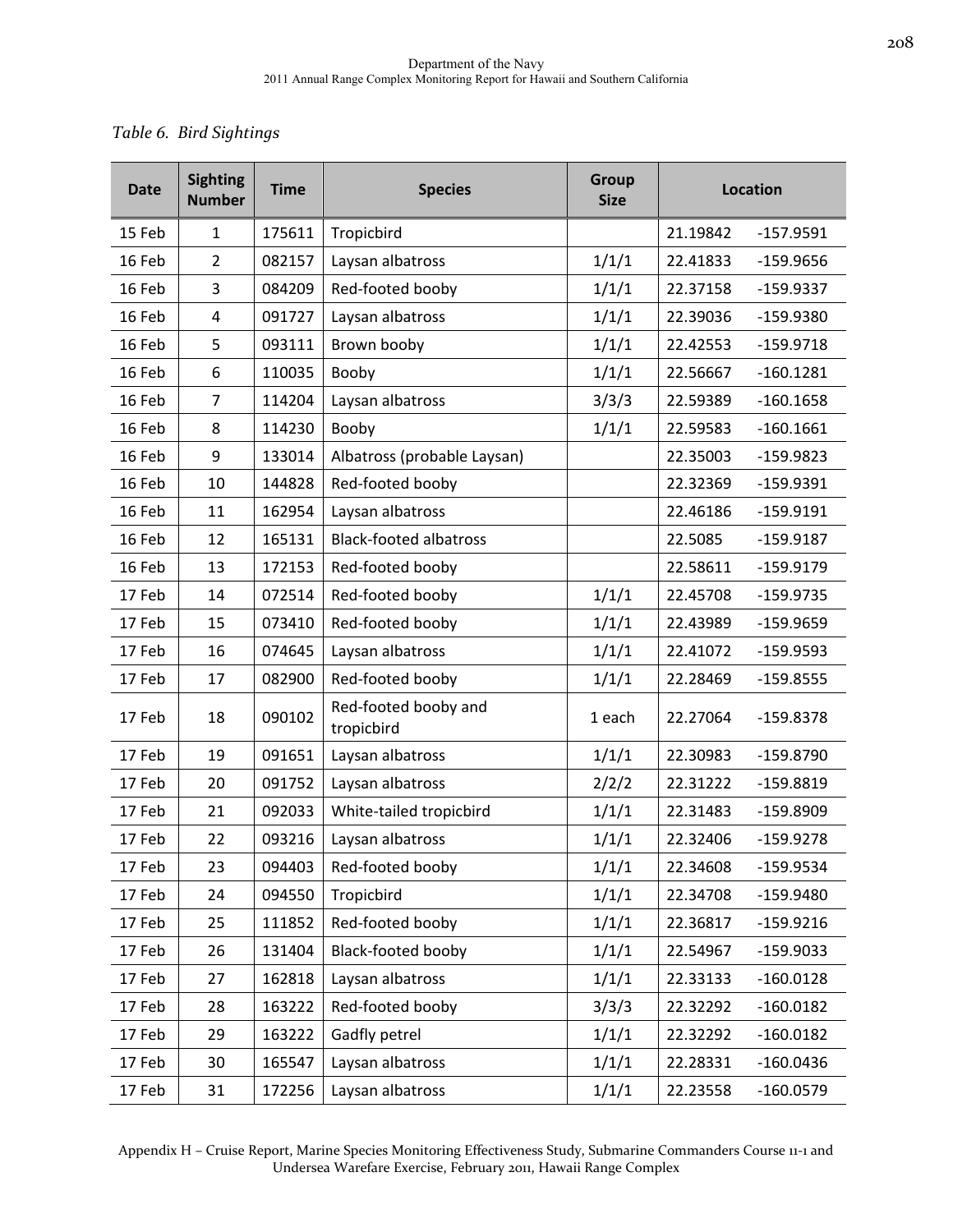## *Table 6. Bird Sightings*

| <b>Date</b> | <b>Sighting</b><br><b>Number</b> | <b>Time</b> | <b>Species</b>                     | <b>Group</b><br><b>Size</b> | <b>Location</b> |             |
|-------------|----------------------------------|-------------|------------------------------------|-----------------------------|-----------------|-------------|
| 15 Feb      | $\mathbf{1}$                     | 175611      | Tropicbird                         |                             | 21.19842        | $-157.9591$ |
| 16 Feb      | $\overline{2}$                   | 082157      | Laysan albatross                   | 1/1/1                       | 22.41833        | $-159.9656$ |
| 16 Feb      | 3                                | 084209      | Red-footed booby                   | 1/1/1                       | 22.37158        | $-159.9337$ |
| 16 Feb      | 4                                | 091727      | Laysan albatross                   | 1/1/1                       | 22.39036        | $-159.9380$ |
| 16 Feb      | 5                                | 093111      | Brown booby                        | 1/1/1                       | 22.42553        | $-159.9718$ |
| 16 Feb      | 6                                | 110035      | Booby                              | 1/1/1                       | 22.56667        | $-160.1281$ |
| 16 Feb      | $\overline{7}$                   | 114204      | Laysan albatross                   | 3/3/3                       | 22.59389        | $-160.1658$ |
| 16 Feb      | 8                                | 114230      | Booby                              | 1/1/1                       | 22.59583        | $-160.1661$ |
| 16 Feb      | 9                                | 133014      | Albatross (probable Laysan)        |                             | 22.35003        | $-159.9823$ |
| 16 Feb      | 10                               | 144828      | Red-footed booby                   |                             | 22.32369        | $-159.9391$ |
| 16 Feb      | 11                               | 162954      | Laysan albatross                   |                             | 22.46186        | $-159.9191$ |
| 16 Feb      | 12                               | 165131      | <b>Black-footed albatross</b>      |                             | 22.5085         | $-159.9187$ |
| 16 Feb      | 13                               | 172153      | Red-footed booby                   |                             | 22.58611        | $-159.9179$ |
| 17 Feb      | 14                               | 072514      | Red-footed booby                   | 1/1/1                       | 22.45708        | $-159.9735$ |
| 17 Feb      | 15                               | 073410      | Red-footed booby                   | 1/1/1                       | 22.43989        | $-159.9659$ |
| 17 Feb      | 16                               | 074645      | Laysan albatross                   | 1/1/1                       | 22.41072        | $-159.9593$ |
| 17 Feb      | 17                               | 082900      | Red-footed booby                   | 1/1/1                       | 22.28469        | $-159.8555$ |
| 17 Feb      | 18                               | 090102      | Red-footed booby and<br>tropicbird | 1 each                      | 22.27064        | $-159.8378$ |
| 17 Feb      | 19                               | 091651      | Laysan albatross                   | 1/1/1                       | 22.30983        | $-159.8790$ |
| 17 Feb      | 20                               | 091752      | Laysan albatross                   | 2/2/2                       | 22.31222        | $-159.8819$ |
| 17 Feb      | 21                               | 092033      | White-tailed tropicbird            | 1/1/1                       | 22.31483        | $-159.8909$ |
| 17 Feb      | 22                               | 093216      | Laysan albatross                   | 1/1/1                       | 22.32406        | $-159.9278$ |
| 17 Feb      | 23                               | 094403      | Red-footed booby                   | 1/1/1                       | 22.34608        | $-159.9534$ |
| 17 Feb      | 24                               | 094550      | Tropicbird                         | 1/1/1                       | 22.34708        | $-159.9480$ |
| 17 Feb      | 25                               | 111852      | Red-footed booby                   | 1/1/1                       | 22.36817        | $-159.9216$ |
| 17 Feb      | 26                               | 131404      | Black-footed booby                 | 1/1/1                       | 22.54967        | $-159.9033$ |
| 17 Feb      | 27                               | 162818      | Laysan albatross                   | 1/1/1                       | 22.33133        | $-160.0128$ |
| 17 Feb      | 28                               | 163222      | Red-footed booby                   | 3/3/3                       | 22.32292        | $-160.0182$ |
| 17 Feb      | 29                               | 163222      | Gadfly petrel                      | 1/1/1                       | 22.32292        | $-160.0182$ |
| 17 Feb      | 30                               | 165547      | Laysan albatross                   | 1/1/1                       | 22.28331        | $-160.0436$ |
| 17 Feb      | 31                               | 172256      | Laysan albatross                   | 1/1/1                       | 22.23558        | $-160.0579$ |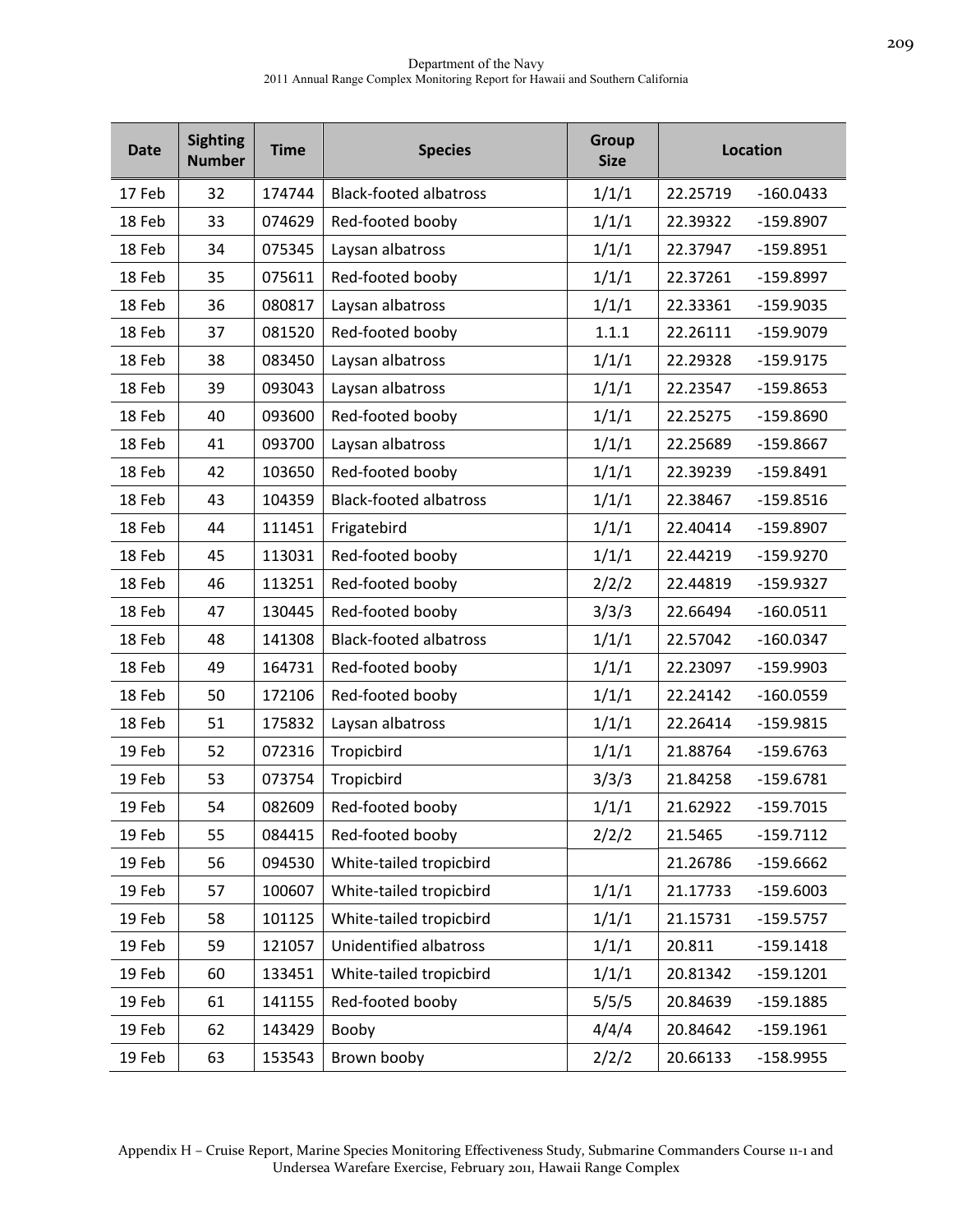| <b>Date</b> | <b>Sighting</b><br><b>Number</b> | <b>Time</b> | <b>Species</b>                | <b>Group</b><br><b>Size</b> | <b>Location</b> |             |
|-------------|----------------------------------|-------------|-------------------------------|-----------------------------|-----------------|-------------|
| 17 Feb      | 32                               | 174744      | <b>Black-footed albatross</b> | 1/1/1                       | 22.25719        | $-160.0433$ |
| 18 Feb      | 33                               | 074629      | Red-footed booby              | 1/1/1                       | 22.39322        | $-159.8907$ |
| 18 Feb      | 34                               | 075345      | Laysan albatross              | 1/1/1                       | 22.37947        | $-159.8951$ |
| 18 Feb      | 35                               | 075611      | Red-footed booby              | 1/1/1                       | 22.37261        | $-159.8997$ |
| 18 Feb      | 36                               | 080817      | Laysan albatross              | 1/1/1                       | 22.33361        | $-159.9035$ |
| 18 Feb      | 37                               | 081520      | Red-footed booby              | 1.1.1                       | 22.26111        | $-159.9079$ |
| 18 Feb      | 38                               | 083450      | Laysan albatross              | 1/1/1                       | 22.29328        | $-159.9175$ |
| 18 Feb      | 39                               | 093043      | Laysan albatross              | 1/1/1                       | 22.23547        | $-159.8653$ |
| 18 Feb      | 40                               | 093600      | Red-footed booby              | 1/1/1                       | 22.25275        | $-159.8690$ |
| 18 Feb      | 41                               | 093700      | Laysan albatross              | 1/1/1                       | 22.25689        | $-159.8667$ |
| 18 Feb      | 42                               | 103650      | Red-footed booby              | 1/1/1                       | 22.39239        | $-159.8491$ |
| 18 Feb      | 43                               | 104359      | <b>Black-footed albatross</b> | 1/1/1                       | 22.38467        | $-159.8516$ |
| 18 Feb      | 44                               | 111451      | Frigatebird                   | 1/1/1                       | 22.40414        | $-159.8907$ |
| 18 Feb      | 45                               | 113031      | Red-footed booby              | 1/1/1                       | 22.44219        | $-159.9270$ |
| 18 Feb      | 46                               | 113251      | Red-footed booby              | 2/2/2                       | 22.44819        | $-159.9327$ |
| 18 Feb      | 47                               | 130445      | Red-footed booby              | 3/3/3                       | 22.66494        | $-160.0511$ |
| 18 Feb      | 48                               | 141308      | <b>Black-footed albatross</b> | 1/1/1                       | 22.57042        | $-160.0347$ |
| 18 Feb      | 49                               | 164731      | Red-footed booby              | 1/1/1                       | 22.23097        | $-159.9903$ |
| 18 Feb      | 50                               | 172106      | Red-footed booby              | 1/1/1                       | 22.24142        | $-160.0559$ |
| 18 Feb      | 51                               | 175832      | Laysan albatross              | 1/1/1                       | 22.26414        | $-159.9815$ |
| 19 Feb      | 52                               | 072316      | Tropicbird                    | 1/1/1                       | 21.88764        | $-159.6763$ |
| 19 Feb      | 53                               | 073754      | Tropicbird                    | 3/3/3                       | 21.84258        | $-159.6781$ |
| 19 Feb      | 54                               | 082609      | Red-footed booby              | 1/1/1                       | 21.62922        | $-159.7015$ |
| 19 Feb      | 55                               | 084415      | Red-footed booby              | 2/2/2                       | 21.5465         | $-159.7112$ |
| 19 Feb      | 56                               | 094530      | White-tailed tropicbird       |                             | 21.26786        | $-159.6662$ |
| 19 Feb      | 57                               | 100607      | White-tailed tropicbird       | 1/1/1                       | 21.17733        | $-159.6003$ |
| 19 Feb      | 58                               | 101125      | White-tailed tropicbird       | 1/1/1                       | 21.15731        | $-159.5757$ |
| 19 Feb      | 59                               | 121057      | Unidentified albatross        | 1/1/1                       | 20.811          | $-159.1418$ |
| 19 Feb      | 60                               | 133451      | White-tailed tropicbird       | 1/1/1                       | 20.81342        | $-159.1201$ |
| 19 Feb      | 61                               | 141155      | Red-footed booby              | 5/5/5                       | 20.84639        | $-159.1885$ |
| 19 Feb      | 62                               | 143429      | Booby                         | 4/4/4                       | 20.84642        | $-159.1961$ |
| 19 Feb      | 63                               | 153543      | Brown booby                   | 2/2/2                       | 20.66133        | $-158.9955$ |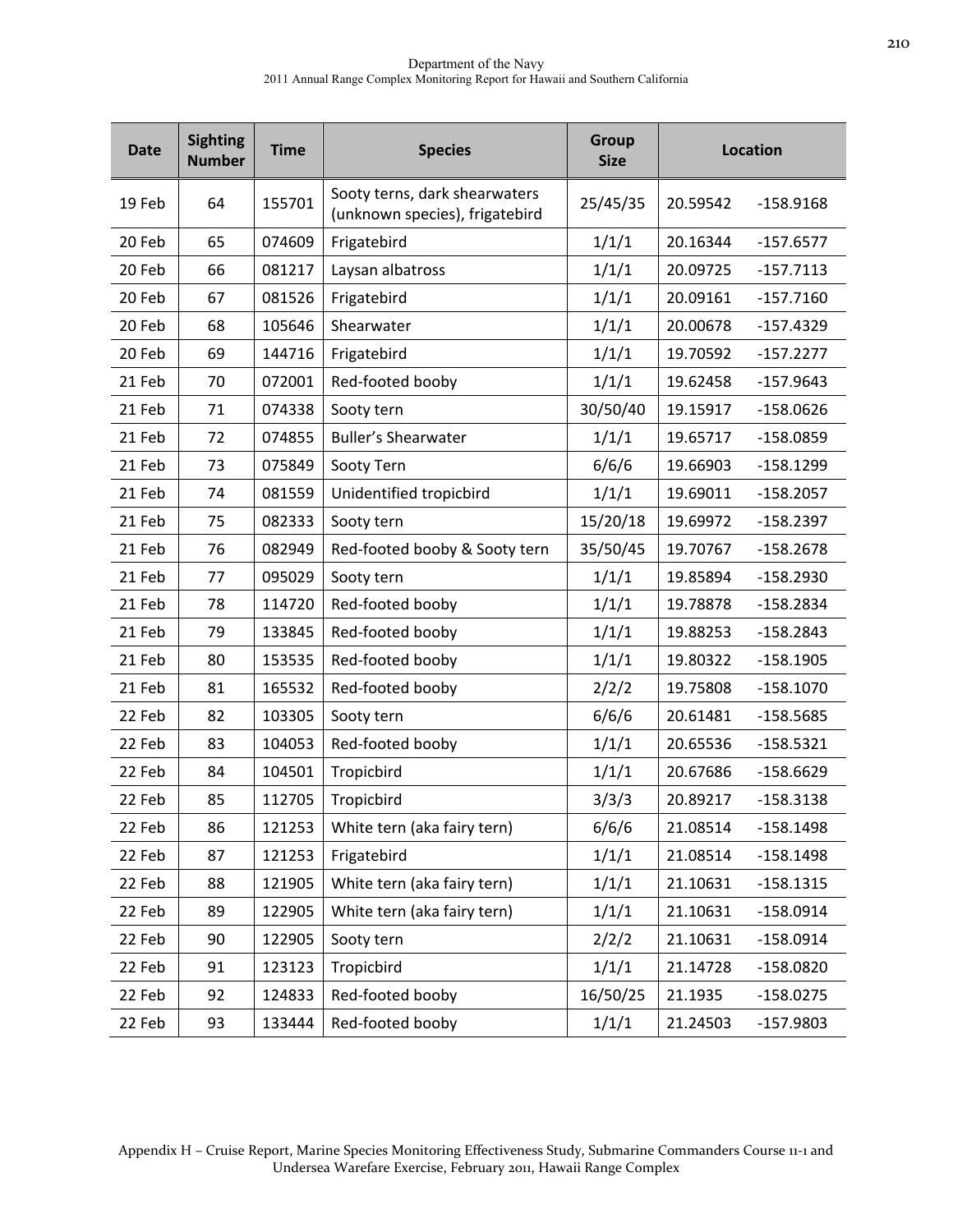| <b>Date</b> | <b>Sighting</b><br><b>Number</b> | <b>Time</b> | <b>Species</b>                                                  | <b>Group</b><br><b>Size</b> | Location |             |
|-------------|----------------------------------|-------------|-----------------------------------------------------------------|-----------------------------|----------|-------------|
| 19 Feb      | 64                               | 155701      | Sooty terns, dark shearwaters<br>(unknown species), frigatebird | 25/45/35                    | 20.59542 | $-158.9168$ |
| 20 Feb      | 65                               | 074609      | Frigatebird                                                     | 1/1/1                       | 20.16344 | $-157.6577$ |
| 20 Feb      | 66                               | 081217      | Laysan albatross                                                | 1/1/1                       | 20.09725 | $-157.7113$ |
| 20 Feb      | 67                               | 081526      | Frigatebird                                                     | 1/1/1                       | 20.09161 | $-157.7160$ |
| 20 Feb      | 68                               | 105646      | Shearwater                                                      | 1/1/1                       | 20.00678 | $-157.4329$ |
| 20 Feb      | 69                               | 144716      | Frigatebird                                                     | 1/1/1                       | 19.70592 | $-157.2277$ |
| 21 Feb      | 70                               | 072001      | Red-footed booby                                                | 1/1/1                       | 19.62458 | $-157.9643$ |
| 21 Feb      | 71                               | 074338      | Sooty tern                                                      | 30/50/40                    | 19.15917 | $-158.0626$ |
| 21 Feb      | 72                               | 074855      | <b>Buller's Shearwater</b>                                      | 1/1/1                       | 19.65717 | $-158.0859$ |
| 21 Feb      | 73                               | 075849      | Sooty Tern                                                      | 6/6/6                       | 19.66903 | $-158.1299$ |
| 21 Feb      | 74                               | 081559      | Unidentified tropicbird                                         | 1/1/1                       | 19.69011 | $-158.2057$ |
| 21 Feb      | 75                               | 082333      | Sooty tern                                                      | 15/20/18                    | 19.69972 | $-158.2397$ |
| 21 Feb      | 76                               | 082949      | Red-footed booby & Sooty tern                                   | 35/50/45                    | 19.70767 | $-158.2678$ |
| 21 Feb      | 77                               | 095029      | Sooty tern                                                      | 1/1/1                       | 19.85894 | $-158.2930$ |
| 21 Feb      | 78                               | 114720      | Red-footed booby                                                | 1/1/1                       | 19.78878 | $-158.2834$ |
| 21 Feb      | 79                               | 133845      | Red-footed booby                                                | 1/1/1                       | 19.88253 | $-158.2843$ |
| 21 Feb      | 80                               | 153535      | Red-footed booby                                                | 1/1/1                       | 19.80322 | $-158.1905$ |
| 21 Feb      | 81                               | 165532      | Red-footed booby                                                | 2/2/2                       | 19.75808 | $-158.1070$ |
| 22 Feb      | 82                               | 103305      | Sooty tern                                                      | 6/6/6                       | 20.61481 | $-158.5685$ |
| 22 Feb      | 83                               | 104053      | Red-footed booby                                                | 1/1/1                       | 20.65536 | $-158.5321$ |
| 22 Feb      | 84                               | 104501      | Tropicbird                                                      | 1/1/1                       | 20.67686 | $-158.6629$ |
| 22 Feb      | 85                               | 112705      | Tropicbird                                                      | 3/3/3                       | 20.89217 | $-158.3138$ |
| 22 Feb      | 86                               | 121253      | White tern (aka fairy tern)                                     | 6/6/6                       | 21.08514 | $-158.1498$ |
| 22 Feb      | 87                               | 121253      | Frigatebird                                                     | 1/1/1                       | 21.08514 | $-158.1498$ |
| 22 Feb      | 88                               | 121905      | White tern (aka fairy tern)                                     | 1/1/1                       | 21.10631 | $-158.1315$ |
| 22 Feb      | 89                               | 122905      | White tern (aka fairy tern)                                     | 1/1/1                       | 21.10631 | $-158.0914$ |
| 22 Feb      | 90                               | 122905      | Sooty tern                                                      | 2/2/2                       | 21.10631 | $-158.0914$ |
| 22 Feb      | 91                               | 123123      | Tropicbird                                                      | 1/1/1                       | 21.14728 | $-158.0820$ |
| 22 Feb      | 92                               | 124833      | Red-footed booby                                                | 16/50/25                    | 21.1935  | $-158.0275$ |
| 22 Feb      | 93                               | 133444      | Red-footed booby                                                | 1/1/1                       | 21.24503 | $-157.9803$ |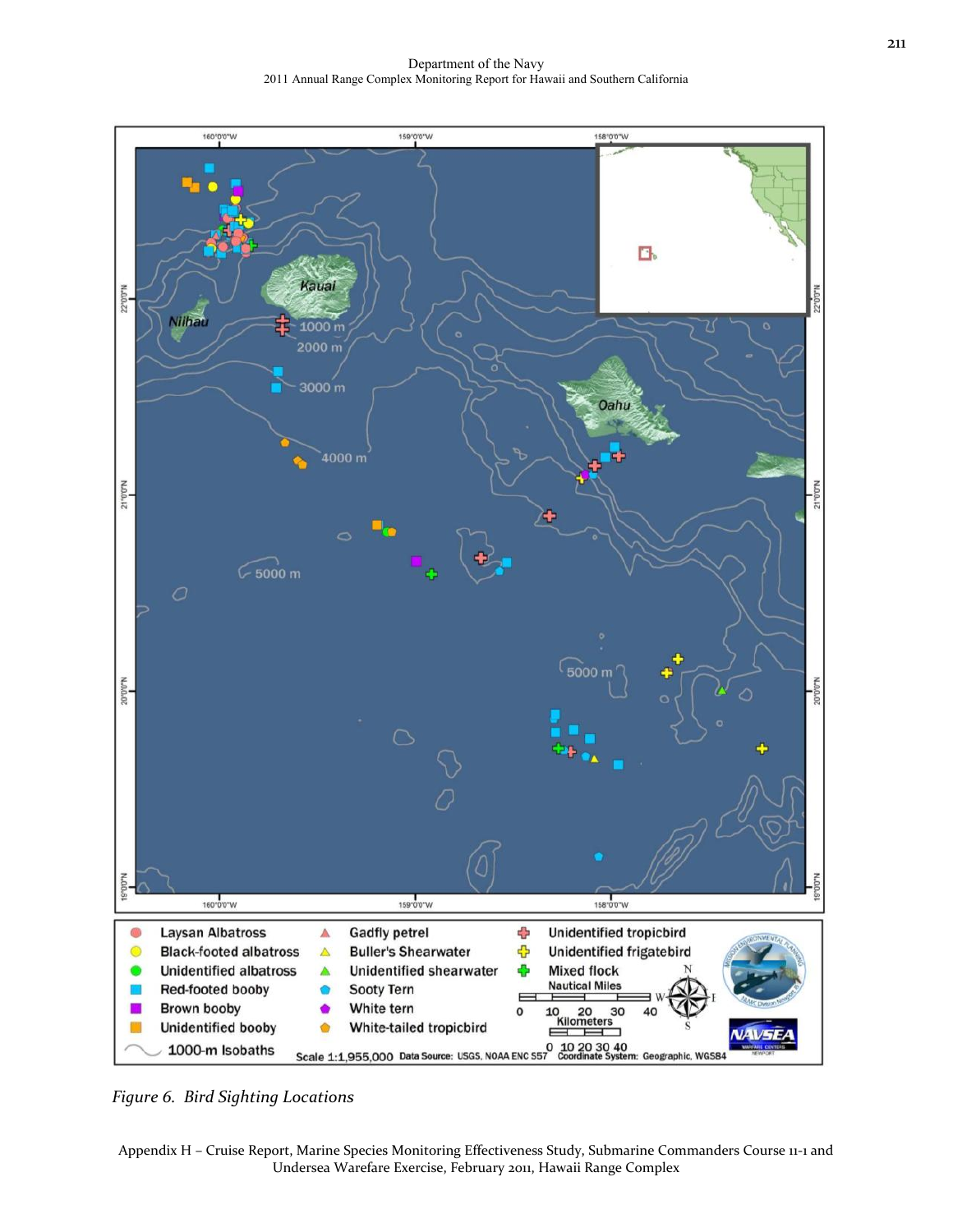Department of the Navy 2011 Annual Range Complex Monitoring Report for Hawaii and Southern California



*Figure 6. Bird Sighting Locations*